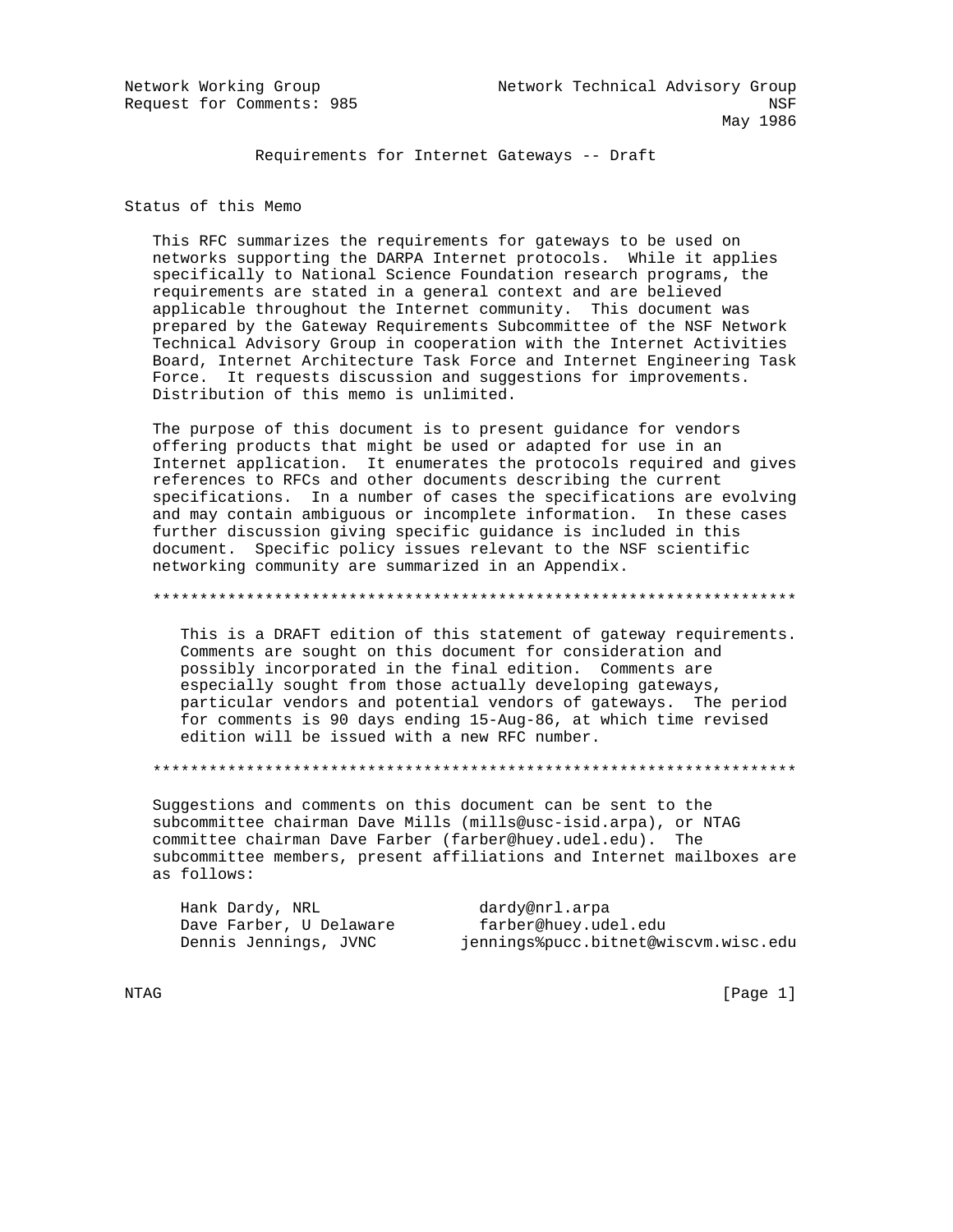Requirements for Internet Gateways -- Draft

Status of this Memo

 This RFC summarizes the requirements for gateways to be used on networks supporting the DARPA Internet protocols. While it applies specifically to National Science Foundation research programs, the requirements are stated in a general context and are believed applicable throughout the Internet community. This document was prepared by the Gateway Requirements Subcommittee of the NSF Network Technical Advisory Group in cooperation with the Internet Activities Board, Internet Architecture Task Force and Internet Engineering Task Force. It requests discussion and suggestions for improvements. Distribution of this memo is unlimited.

 The purpose of this document is to present guidance for vendors offering products that might be used or adapted for use in an Internet application. It enumerates the protocols required and gives references to RFCs and other documents describing the current specifications. In a number of cases the specifications are evolving and may contain ambiguous or incomplete information. In these cases further discussion giving specific guidance is included in this document. Specific policy issues relevant to the NSF scientific networking community are summarized in an Appendix.

\*\*\*\*\*\*\*\*\*\*\*\*\*\*\*\*\*\*\*\*\*\*\*\*\*\*\*\*\*\*\*\*\*\*\*\*\*\*\*\*\*\*\*\*\*\*\*\*\*\*\*\*\*\*\*\*\*\*\*\*\*\*\*\*\*\*\*\*\*

 This is a DRAFT edition of this statement of gateway requirements. Comments are sought on this document for consideration and possibly incorporated in the final edition. Comments are especially sought from those actually developing gateways, particular vendors and potential vendors of gateways. The period for comments is 90 days ending 15-Aug-86, at which time revised edition will be issued with a new RFC number.

\*\*\*\*\*\*\*\*\*\*\*\*\*\*\*\*\*\*\*\*\*\*\*\*\*\*\*\*\*\*\*\*\*\*\*\*\*\*\*\*\*\*\*\*\*\*\*\*\*\*\*\*\*\*\*\*\*\*\*\*\*\*\*\*\*\*\*\*\*

 Suggestions and comments on this document can be sent to the subcommittee chairman Dave Mills (mills@usc-isid.arpa), or NTAG committee chairman Dave Farber (farber@huey.udel.edu). The subcommittee members, present affiliations and Internet mailboxes are as follows:

Hank Dardy, NRL dardy@nrl.arpa Dave Farber, U Delaware farber@huey.udel.edu Dennis Jennings, JVNC jennings%pucc.bitnet@wiscvm.wisc.edu

NTAG [Page 1]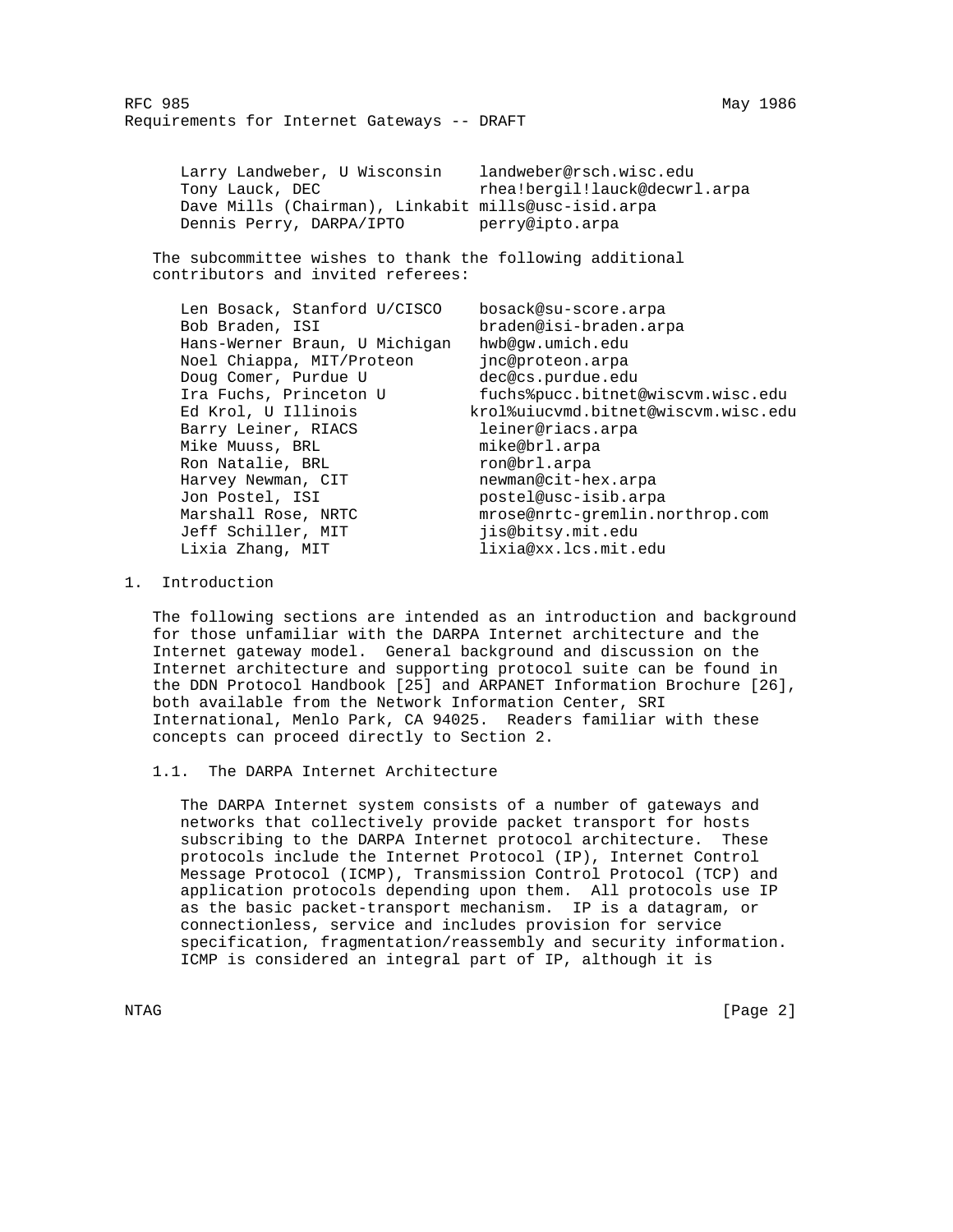| Larry Landweber, U Wisconsin                        | landweber@rsch.wisc.edu       |
|-----------------------------------------------------|-------------------------------|
| Tony Lauck, DEC                                     | rhea!bergil!lauck@decwrl.arpa |
| Dave Mills (Chairman), Linkabit mills@usc-isid.arpa |                               |
| Dennis Perry, DARPA/IPTO                            | perry@ipto.arpa               |

 The subcommittee wishes to thank the following additional contributors and invited referees:

| Len Bosack, Stanford U/CISCO  | bosack@su-score.arpa                |
|-------------------------------|-------------------------------------|
| Bob Braden, ISI               | braden@isi-braden.arpa              |
| Hans-Werner Braun, U Michigan | hwb@qw.umich.edu                    |
| Noel Chiappa, MIT/Proteon     | inc@proteon.arpa                    |
| Doug Comer, Purdue U          | dec@cs.purdue.edu                   |
| Ira Fuchs, Princeton U        | fuchs%pucc.bitnet@wiscvm.wisc.edu   |
| Ed Krol, U Illinois           | krol%uiucymd.bitnet@wiscym.wisc.edu |
| Barry Leiner, RIACS           | leiner@riacs.arpa                   |
| Mike Muuss, BRL               | mike@brl.arpa                       |
| Ron Natalie, BRL              | ron@brl.arpa                        |
| Harvey Newman, CIT            | newman@cit-hex.arpa                 |
| Jon Postel, ISI               | postel@usc-isib.arpa                |
| Marshall Rose, NRTC           | mrose@nrtc-gremlin.northrop.com     |
| Jeff Schiller, MIT            | jis@bitsy.mit.edu                   |
| Lixia Zhang, MIT              | lixia@xx.lcs.mit.edu                |
|                               |                                     |

1. Introduction

 The following sections are intended as an introduction and background for those unfamiliar with the DARPA Internet architecture and the Internet gateway model. General background and discussion on the Internet architecture and supporting protocol suite can be found in the DDN Protocol Handbook [25] and ARPANET Information Brochure [26], both available from the Network Information Center, SRI International, Menlo Park, CA 94025. Readers familiar with these concepts can proceed directly to Section 2.

1.1. The DARPA Internet Architecture

 The DARPA Internet system consists of a number of gateways and networks that collectively provide packet transport for hosts subscribing to the DARPA Internet protocol architecture. These protocols include the Internet Protocol (IP), Internet Control Message Protocol (ICMP), Transmission Control Protocol (TCP) and application protocols depending upon them. All protocols use IP as the basic packet-transport mechanism. IP is a datagram, or connectionless, service and includes provision for service specification, fragmentation/reassembly and security information. ICMP is considered an integral part of IP, although it is

NTAG [Page 2]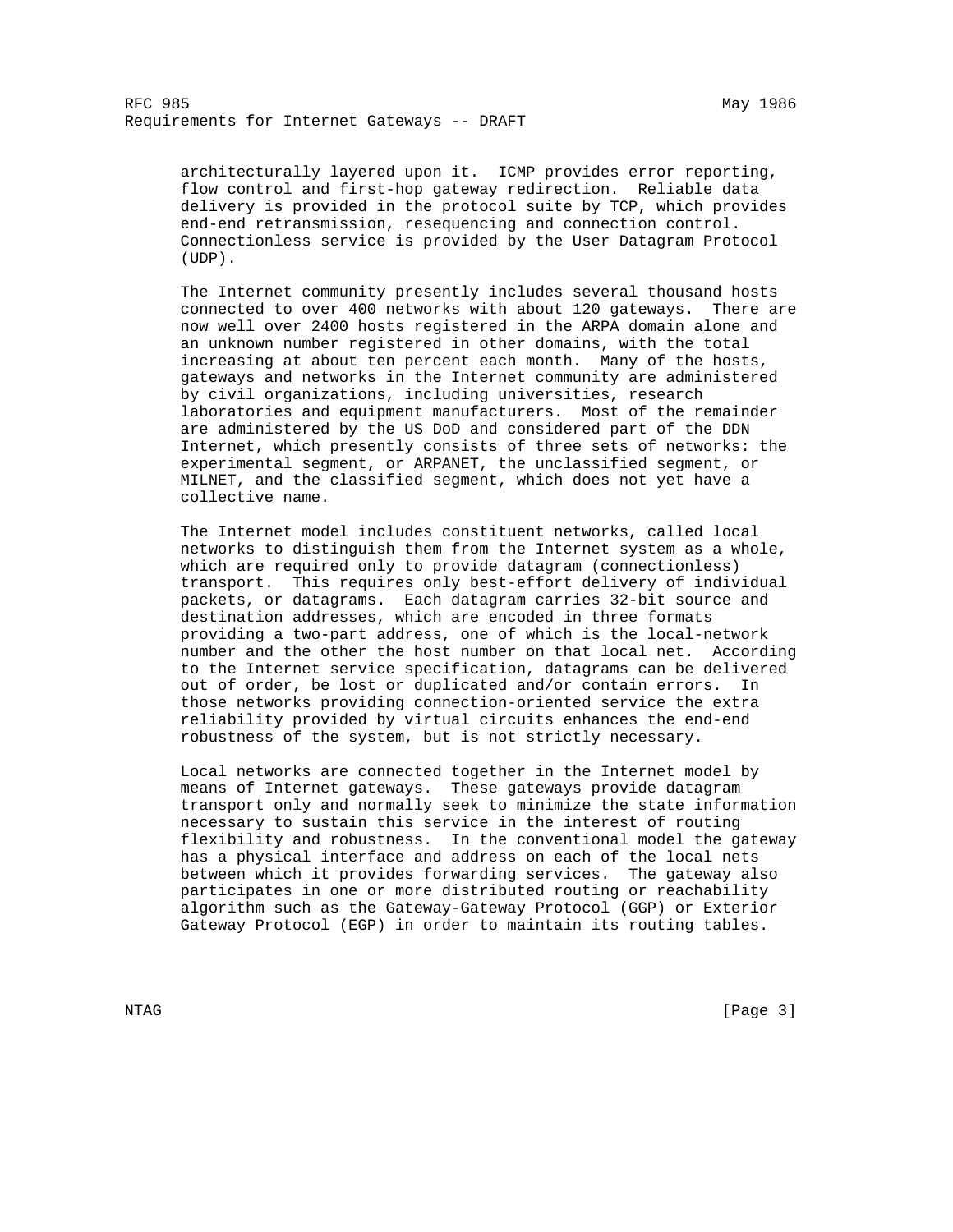architecturally layered upon it. ICMP provides error reporting, flow control and first-hop gateway redirection. Reliable data delivery is provided in the protocol suite by TCP, which provides end-end retransmission, resequencing and connection control. Connectionless service is provided by the User Datagram Protocol (UDP).

 The Internet community presently includes several thousand hosts connected to over 400 networks with about 120 gateways. There are now well over 2400 hosts registered in the ARPA domain alone and an unknown number registered in other domains, with the total increasing at about ten percent each month. Many of the hosts, gateways and networks in the Internet community are administered by civil organizations, including universities, research laboratories and equipment manufacturers. Most of the remainder are administered by the US DoD and considered part of the DDN Internet, which presently consists of three sets of networks: the experimental segment, or ARPANET, the unclassified segment, or MILNET, and the classified segment, which does not yet have a collective name.

 The Internet model includes constituent networks, called local networks to distinguish them from the Internet system as a whole, which are required only to provide datagram (connectionless) transport. This requires only best-effort delivery of individual packets, or datagrams. Each datagram carries 32-bit source and destination addresses, which are encoded in three formats providing a two-part address, one of which is the local-network number and the other the host number on that local net. According to the Internet service specification, datagrams can be delivered out of order, be lost or duplicated and/or contain errors. In those networks providing connection-oriented service the extra reliability provided by virtual circuits enhances the end-end robustness of the system, but is not strictly necessary.

 Local networks are connected together in the Internet model by means of Internet gateways. These gateways provide datagram transport only and normally seek to minimize the state information necessary to sustain this service in the interest of routing flexibility and robustness. In the conventional model the gateway has a physical interface and address on each of the local nets between which it provides forwarding services. The gateway also participates in one or more distributed routing or reachability algorithm such as the Gateway-Gateway Protocol (GGP) or Exterior Gateway Protocol (EGP) in order to maintain its routing tables.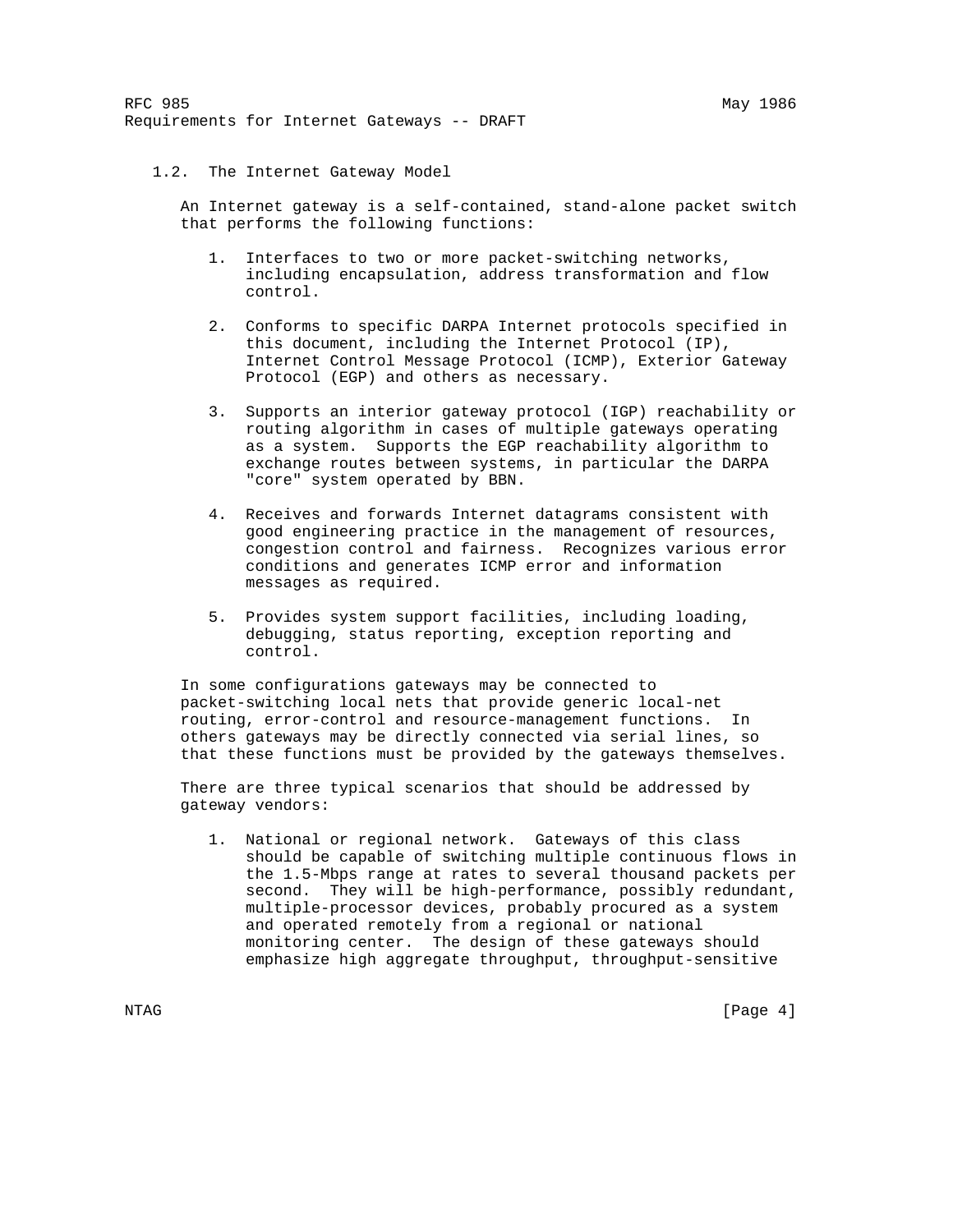# 1.2. The Internet Gateway Model

 An Internet gateway is a self-contained, stand-alone packet switch that performs the following functions:

- 1. Interfaces to two or more packet-switching networks, including encapsulation, address transformation and flow control.
- 2. Conforms to specific DARPA Internet protocols specified in this document, including the Internet Protocol (IP), Internet Control Message Protocol (ICMP), Exterior Gateway Protocol (EGP) and others as necessary.
- 3. Supports an interior gateway protocol (IGP) reachability or routing algorithm in cases of multiple gateways operating as a system. Supports the EGP reachability algorithm to exchange routes between systems, in particular the DARPA "core" system operated by BBN.
- 4. Receives and forwards Internet datagrams consistent with good engineering practice in the management of resources, congestion control and fairness. Recognizes various error conditions and generates ICMP error and information messages as required.
- 5. Provides system support facilities, including loading, debugging, status reporting, exception reporting and control.

 In some configurations gateways may be connected to packet-switching local nets that provide generic local-net routing, error-control and resource-management functions. In others gateways may be directly connected via serial lines, so that these functions must be provided by the gateways themselves.

 There are three typical scenarios that should be addressed by gateway vendors:

 1. National or regional network. Gateways of this class should be capable of switching multiple continuous flows in the 1.5-Mbps range at rates to several thousand packets per second. They will be high-performance, possibly redundant, multiple-processor devices, probably procured as a system and operated remotely from a regional or national monitoring center. The design of these gateways should emphasize high aggregate throughput, throughput-sensitive

NTAG [Page 4]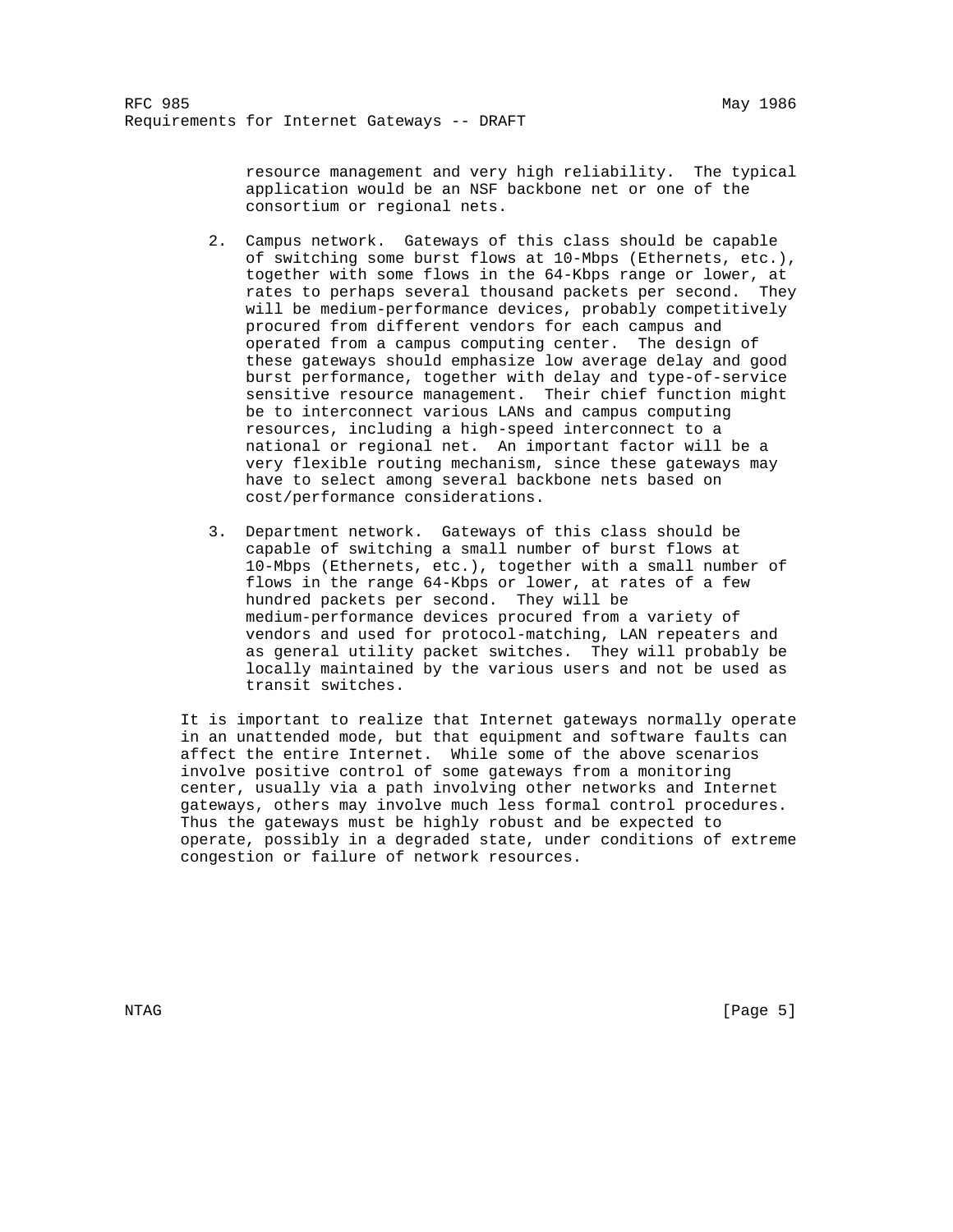resource management and very high reliability. The typical application would be an NSF backbone net or one of the consortium or regional nets.

- 2. Campus network. Gateways of this class should be capable of switching some burst flows at 10-Mbps (Ethernets, etc.), together with some flows in the 64-Kbps range or lower, at rates to perhaps several thousand packets per second. They will be medium-performance devices, probably competitively procured from different vendors for each campus and operated from a campus computing center. The design of these gateways should emphasize low average delay and good burst performance, together with delay and type-of-service sensitive resource management. Their chief function might be to interconnect various LANs and campus computing resources, including a high-speed interconnect to a national or regional net. An important factor will be a very flexible routing mechanism, since these gateways may have to select among several backbone nets based on cost/performance considerations.
- 3. Department network. Gateways of this class should be capable of switching a small number of burst flows at 10-Mbps (Ethernets, etc.), together with a small number of flows in the range 64-Kbps or lower, at rates of a few hundred packets per second. They will be medium-performance devices procured from a variety of vendors and used for protocol-matching, LAN repeaters and as general utility packet switches. They will probably be locally maintained by the various users and not be used as transit switches.

 It is important to realize that Internet gateways normally operate in an unattended mode, but that equipment and software faults can affect the entire Internet. While some of the above scenarios involve positive control of some gateways from a monitoring center, usually via a path involving other networks and Internet gateways, others may involve much less formal control procedures. Thus the gateways must be highly robust and be expected to operate, possibly in a degraded state, under conditions of extreme congestion or failure of network resources.

NTAG [Page 5]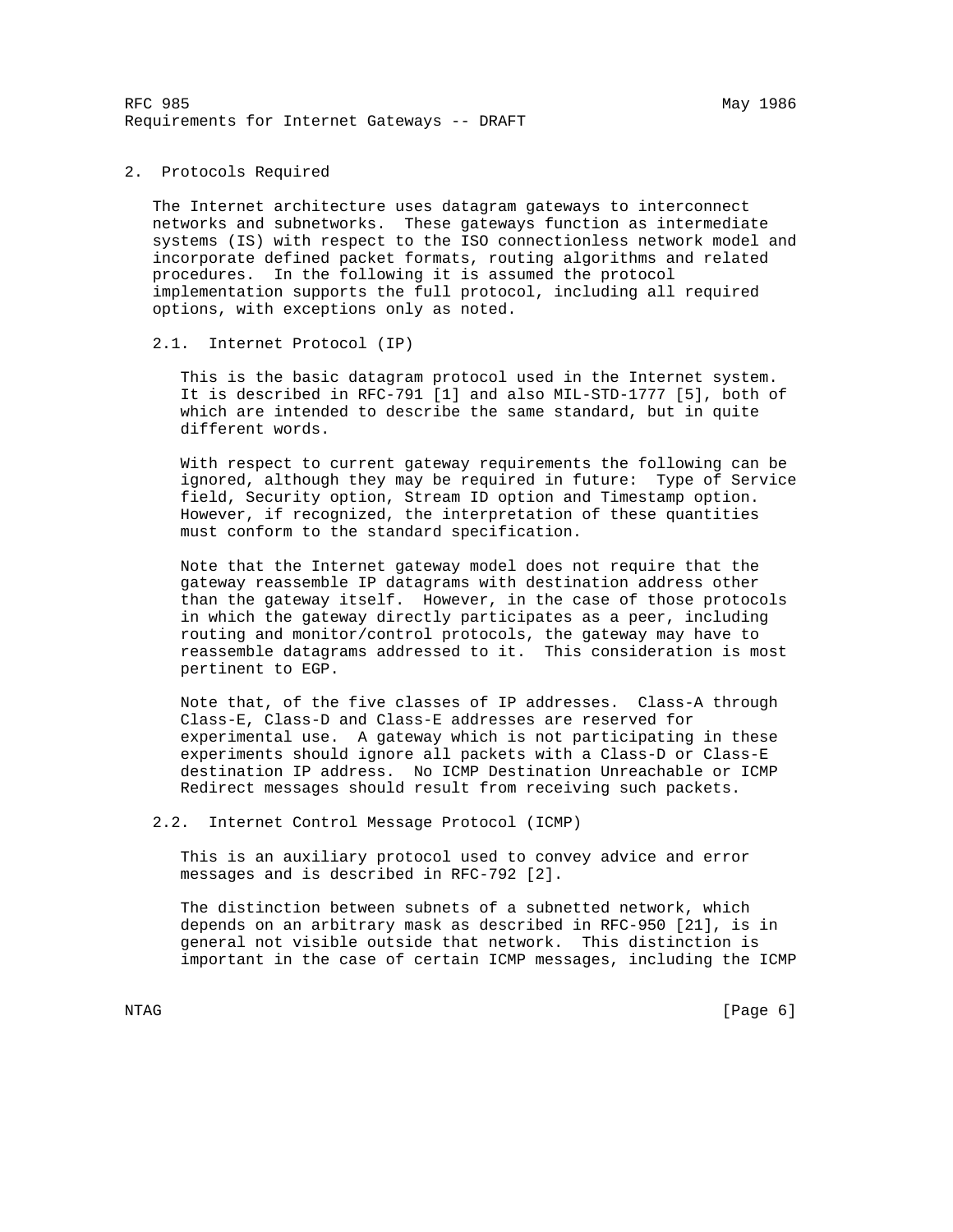RFC 985 May 1986 Requirements for Internet Gateways -- DRAFT

2. Protocols Required

 The Internet architecture uses datagram gateways to interconnect networks and subnetworks. These gateways function as intermediate systems (IS) with respect to the ISO connectionless network model and incorporate defined packet formats, routing algorithms and related procedures. In the following it is assumed the protocol implementation supports the full protocol, including all required options, with exceptions only as noted.

2.1. Internet Protocol (IP)

 This is the basic datagram protocol used in the Internet system. It is described in RFC-791 [1] and also MIL-STD-1777 [5], both of which are intended to describe the same standard, but in quite different words.

 With respect to current gateway requirements the following can be ignored, although they may be required in future: Type of Service field, Security option, Stream ID option and Timestamp option. However, if recognized, the interpretation of these quantities must conform to the standard specification.

 Note that the Internet gateway model does not require that the gateway reassemble IP datagrams with destination address other than the gateway itself. However, in the case of those protocols in which the gateway directly participates as a peer, including routing and monitor/control protocols, the gateway may have to reassemble datagrams addressed to it. This consideration is most pertinent to EGP.

 Note that, of the five classes of IP addresses. Class-A through Class-E, Class-D and Class-E addresses are reserved for experimental use. A gateway which is not participating in these experiments should ignore all packets with a Class-D or Class-E destination IP address. No ICMP Destination Unreachable or ICMP Redirect messages should result from receiving such packets.

2.2. Internet Control Message Protocol (ICMP)

 This is an auxiliary protocol used to convey advice and error messages and is described in RFC-792 [2].

 The distinction between subnets of a subnetted network, which depends on an arbitrary mask as described in RFC-950 [21], is in general not visible outside that network. This distinction is important in the case of certain ICMP messages, including the ICMP

NTAG [Page 6]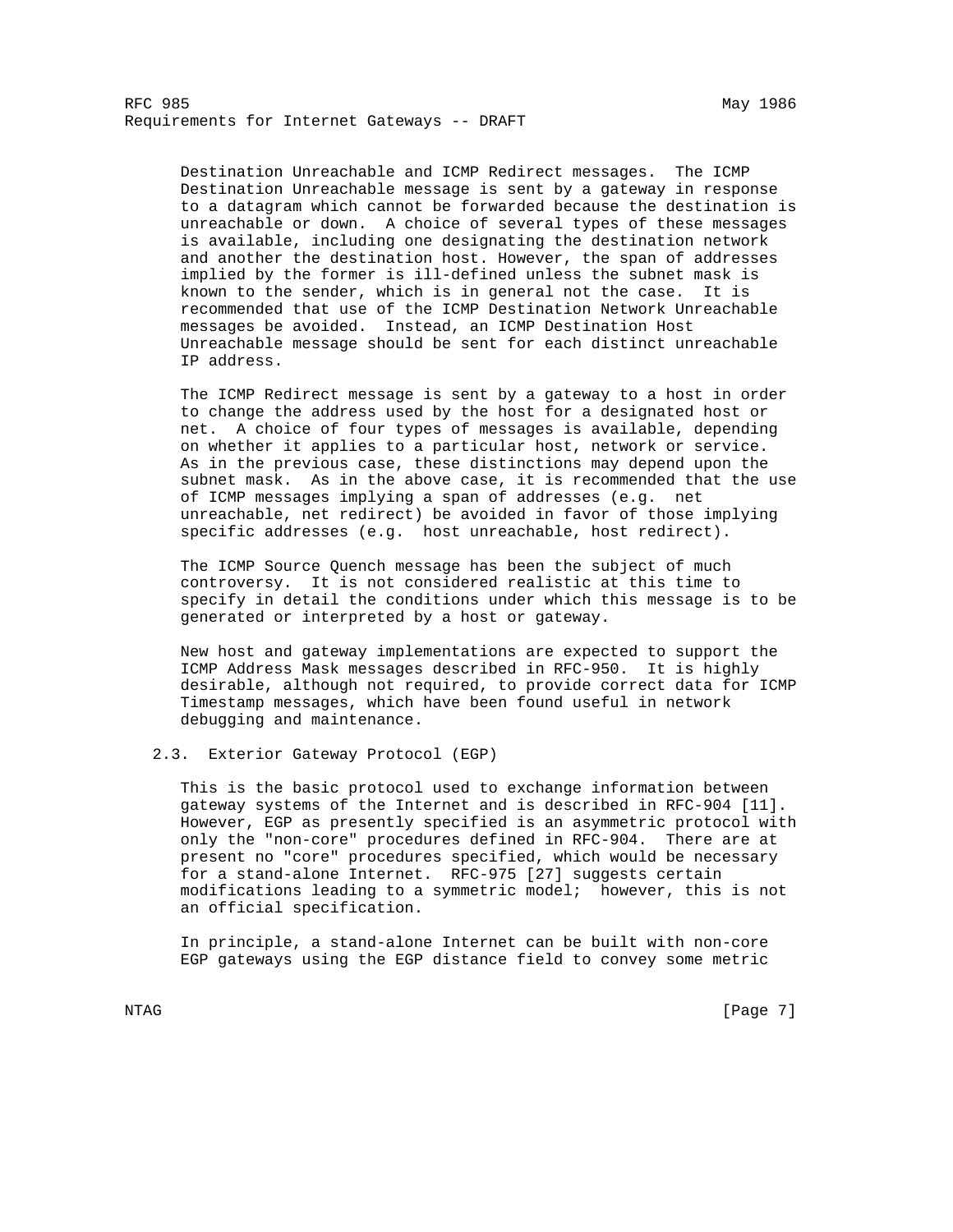Destination Unreachable and ICMP Redirect messages. The ICMP Destination Unreachable message is sent by a gateway in response to a datagram which cannot be forwarded because the destination is unreachable or down. A choice of several types of these messages is available, including one designating the destination network and another the destination host. However, the span of addresses implied by the former is ill-defined unless the subnet mask is known to the sender, which is in general not the case. It is recommended that use of the ICMP Destination Network Unreachable messages be avoided. Instead, an ICMP Destination Host Unreachable message should be sent for each distinct unreachable IP address.

 The ICMP Redirect message is sent by a gateway to a host in order to change the address used by the host for a designated host or net. A choice of four types of messages is available, depending on whether it applies to a particular host, network or service. As in the previous case, these distinctions may depend upon the subnet mask. As in the above case, it is recommended that the use of ICMP messages implying a span of addresses (e.g. net unreachable, net redirect) be avoided in favor of those implying specific addresses (e.g. host unreachable, host redirect).

 The ICMP Source Quench message has been the subject of much controversy. It is not considered realistic at this time to specify in detail the conditions under which this message is to be generated or interpreted by a host or gateway.

 New host and gateway implementations are expected to support the ICMP Address Mask messages described in RFC-950. It is highly desirable, although not required, to provide correct data for ICMP Timestamp messages, which have been found useful in network debugging and maintenance.

# 2.3. Exterior Gateway Protocol (EGP)

 This is the basic protocol used to exchange information between gateway systems of the Internet and is described in RFC-904 [11]. However, EGP as presently specified is an asymmetric protocol with only the "non-core" procedures defined in RFC-904. There are at present no "core" procedures specified, which would be necessary for a stand-alone Internet. RFC-975 [27] suggests certain modifications leading to a symmetric model; however, this is not an official specification.

 In principle, a stand-alone Internet can be built with non-core EGP gateways using the EGP distance field to convey some metric

NTAG [Page 7]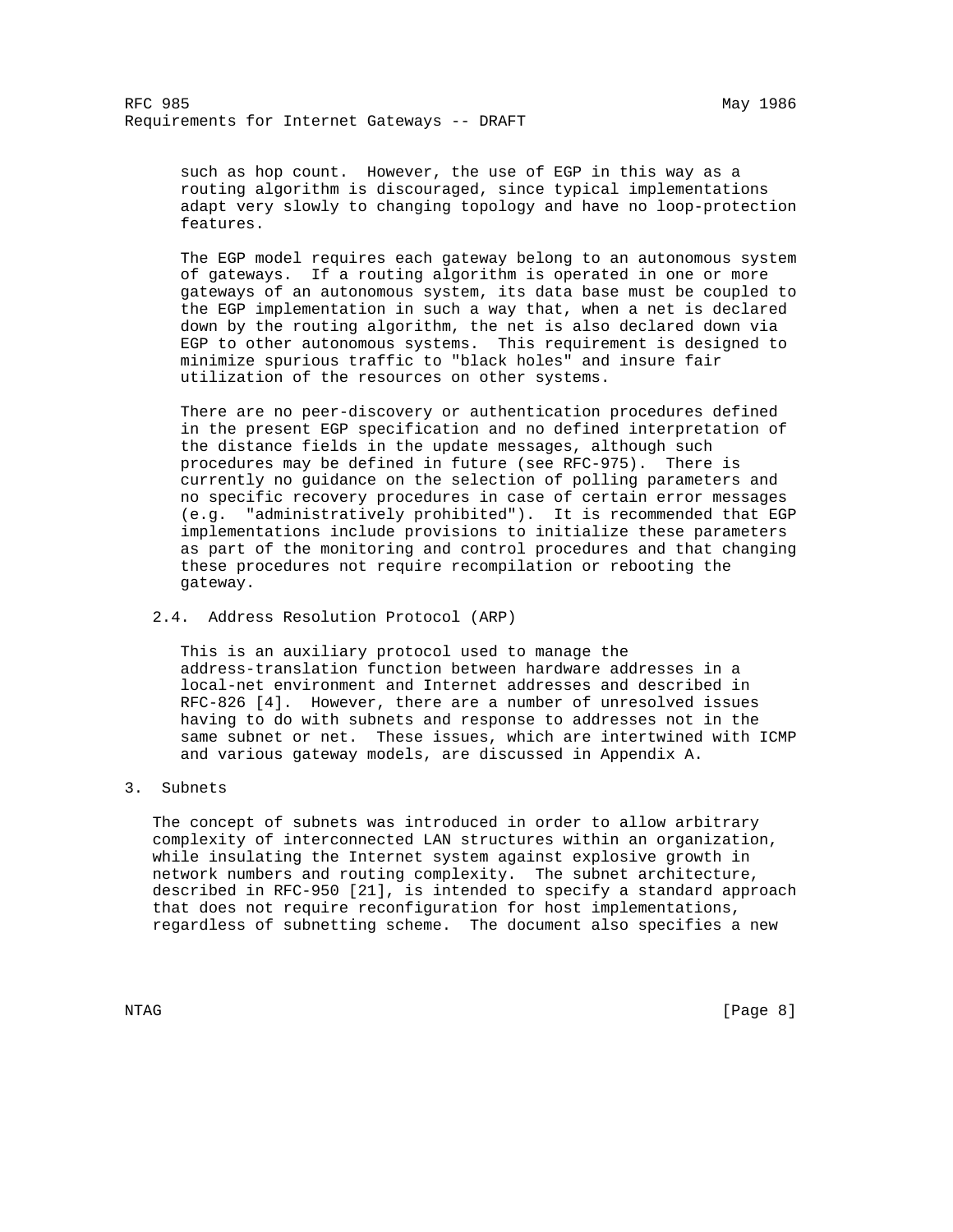such as hop count. However, the use of EGP in this way as a routing algorithm is discouraged, since typical implementations adapt very slowly to changing topology and have no loop-protection features.

 The EGP model requires each gateway belong to an autonomous system of gateways. If a routing algorithm is operated in one or more gateways of an autonomous system, its data base must be coupled to the EGP implementation in such a way that, when a net is declared down by the routing algorithm, the net is also declared down via EGP to other autonomous systems. This requirement is designed to minimize spurious traffic to "black holes" and insure fair utilization of the resources on other systems.

 There are no peer-discovery or authentication procedures defined in the present EGP specification and no defined interpretation of the distance fields in the update messages, although such procedures may be defined in future (see RFC-975). There is currently no guidance on the selection of polling parameters and no specific recovery procedures in case of certain error messages (e.g. "administratively prohibited"). It is recommended that EGP implementations include provisions to initialize these parameters as part of the monitoring and control procedures and that changing these procedures not require recompilation or rebooting the gateway.

### 2.4. Address Resolution Protocol (ARP)

 This is an auxiliary protocol used to manage the address-translation function between hardware addresses in a local-net environment and Internet addresses and described in RFC-826 [4]. However, there are a number of unresolved issues having to do with subnets and response to addresses not in the same subnet or net. These issues, which are intertwined with ICMP and various gateway models, are discussed in Appendix A.

### 3. Subnets

 The concept of subnets was introduced in order to allow arbitrary complexity of interconnected LAN structures within an organization, while insulating the Internet system against explosive growth in network numbers and routing complexity. The subnet architecture, described in RFC-950 [21], is intended to specify a standard approach that does not require reconfiguration for host implementations, regardless of subnetting scheme. The document also specifies a new

NTAG [Page 8]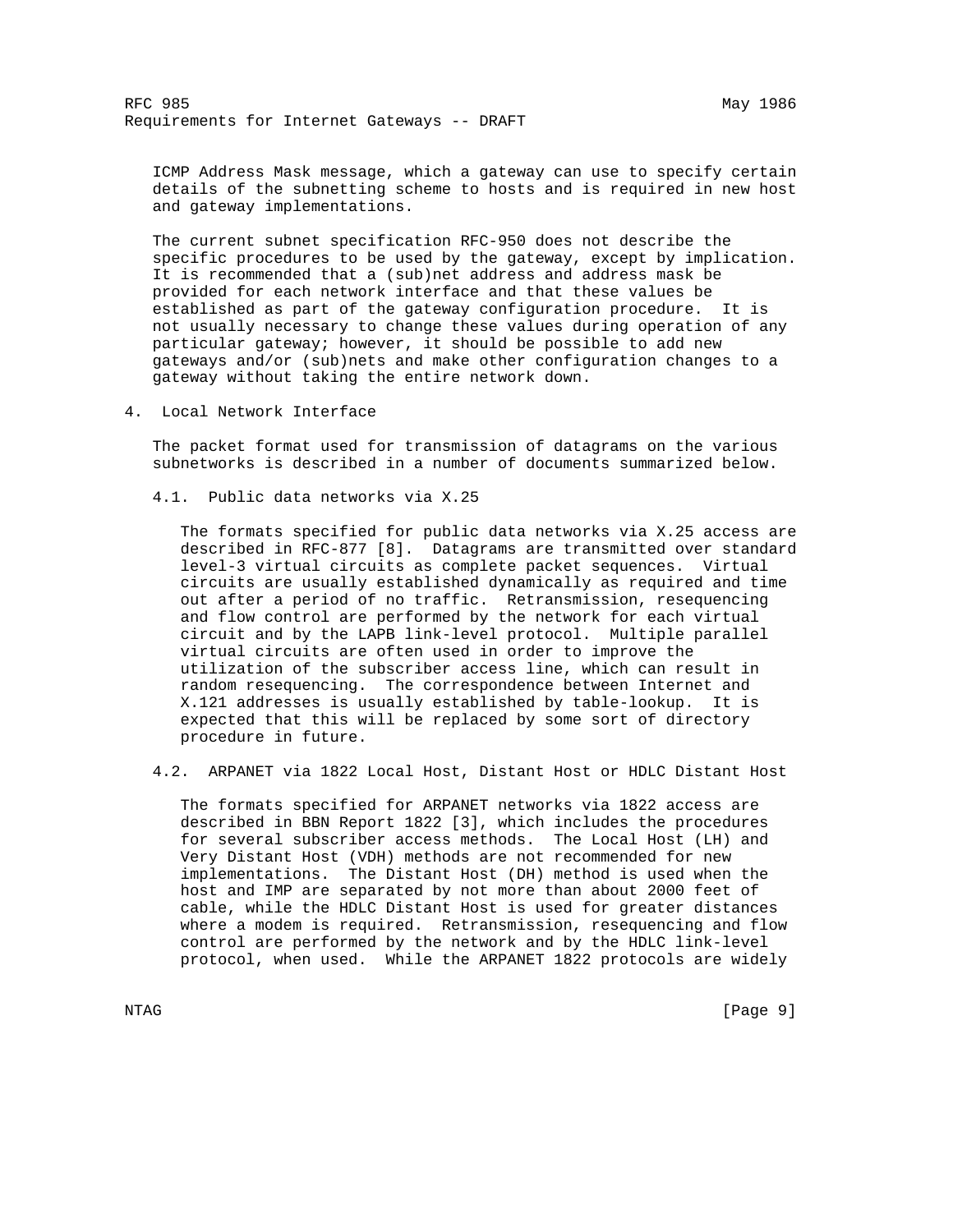ICMP Address Mask message, which a gateway can use to specify certain details of the subnetting scheme to hosts and is required in new host and gateway implementations.

 The current subnet specification RFC-950 does not describe the specific procedures to be used by the gateway, except by implication. It is recommended that a (sub)net address and address mask be provided for each network interface and that these values be established as part of the gateway configuration procedure. It is not usually necessary to change these values during operation of any particular gateway; however, it should be possible to add new gateways and/or (sub)nets and make other configuration changes to a gateway without taking the entire network down.

4. Local Network Interface

 The packet format used for transmission of datagrams on the various subnetworks is described in a number of documents summarized below.

4.1. Public data networks via X.25

 The formats specified for public data networks via X.25 access are described in RFC-877 [8]. Datagrams are transmitted over standard level-3 virtual circuits as complete packet sequences. Virtual circuits are usually established dynamically as required and time out after a period of no traffic. Retransmission, resequencing and flow control are performed by the network for each virtual circuit and by the LAPB link-level protocol. Multiple parallel virtual circuits are often used in order to improve the utilization of the subscriber access line, which can result in random resequencing. The correspondence between Internet and X.121 addresses is usually established by table-lookup. It is expected that this will be replaced by some sort of directory procedure in future.

4.2. ARPANET via 1822 Local Host, Distant Host or HDLC Distant Host

 The formats specified for ARPANET networks via 1822 access are described in BBN Report 1822 [3], which includes the procedures for several subscriber access methods. The Local Host (LH) and Very Distant Host (VDH) methods are not recommended for new implementations. The Distant Host (DH) method is used when the host and IMP are separated by not more than about 2000 feet of cable, while the HDLC Distant Host is used for greater distances where a modem is required. Retransmission, resequencing and flow control are performed by the network and by the HDLC link-level protocol, when used. While the ARPANET 1822 protocols are widely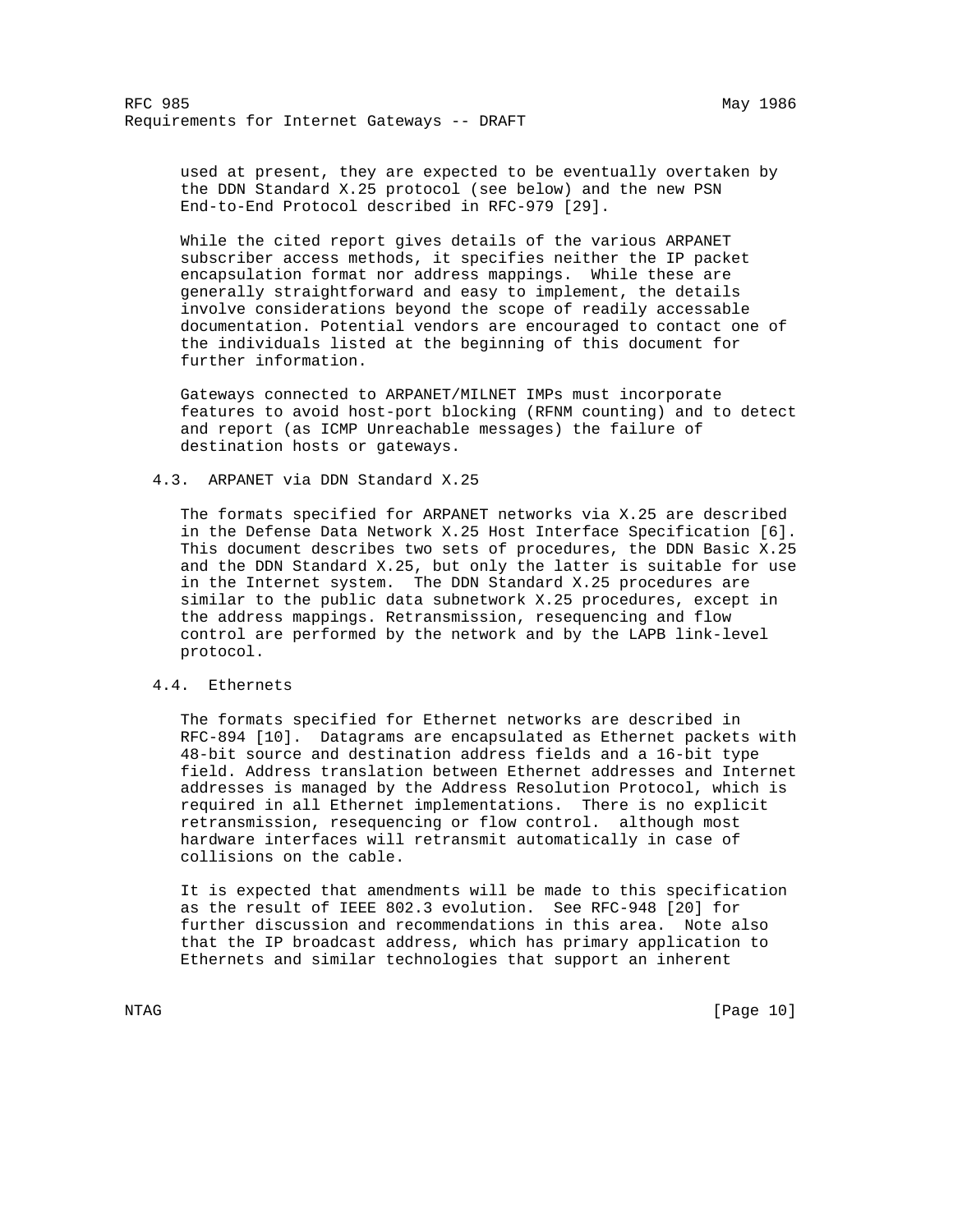RFC 985 May 1986 Requirements for Internet Gateways -- DRAFT

 used at present, they are expected to be eventually overtaken by the DDN Standard X.25 protocol (see below) and the new PSN End-to-End Protocol described in RFC-979 [29].

 While the cited report gives details of the various ARPANET subscriber access methods, it specifies neither the IP packet encapsulation format nor address mappings. While these are generally straightforward and easy to implement, the details involve considerations beyond the scope of readily accessable documentation. Potential vendors are encouraged to contact one of the individuals listed at the beginning of this document for further information.

 Gateways connected to ARPANET/MILNET IMPs must incorporate features to avoid host-port blocking (RFNM counting) and to detect and report (as ICMP Unreachable messages) the failure of destination hosts or gateways.

# 4.3. ARPANET via DDN Standard X.25

 The formats specified for ARPANET networks via X.25 are described in the Defense Data Network X.25 Host Interface Specification [6]. This document describes two sets of procedures, the DDN Basic X.25 and the DDN Standard X.25, but only the latter is suitable for use in the Internet system. The DDN Standard X.25 procedures are similar to the public data subnetwork X.25 procedures, except in the address mappings. Retransmission, resequencing and flow control are performed by the network and by the LAPB link-level protocol.

### 4.4. Ethernets

 The formats specified for Ethernet networks are described in RFC-894 [10]. Datagrams are encapsulated as Ethernet packets with 48-bit source and destination address fields and a 16-bit type field. Address translation between Ethernet addresses and Internet addresses is managed by the Address Resolution Protocol, which is required in all Ethernet implementations. There is no explicit retransmission, resequencing or flow control. although most hardware interfaces will retransmit automatically in case of collisions on the cable.

 It is expected that amendments will be made to this specification as the result of IEEE 802.3 evolution. See RFC-948 [20] for further discussion and recommendations in this area. Note also that the IP broadcast address, which has primary application to Ethernets and similar technologies that support an inherent

NTAG [Page 10]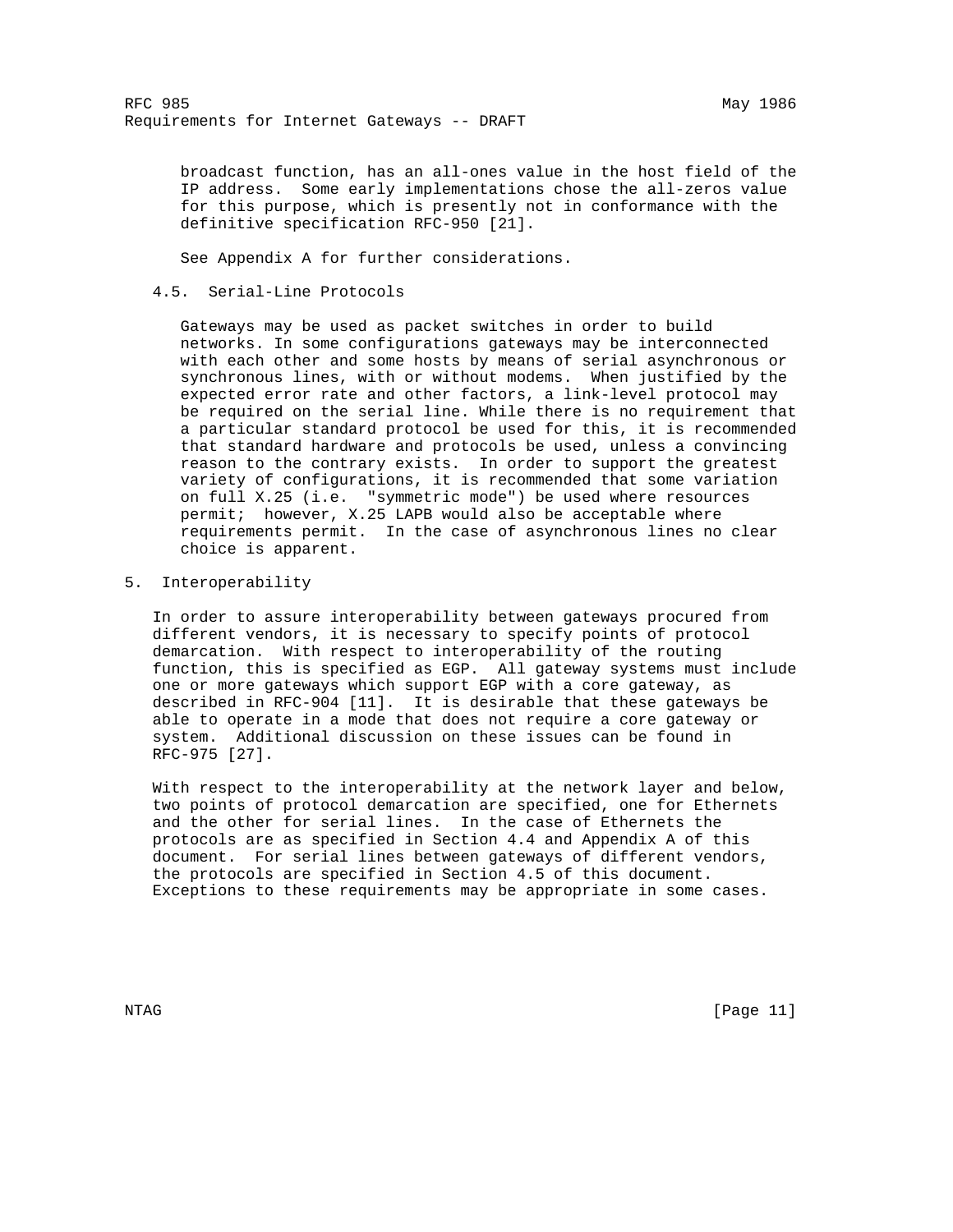broadcast function, has an all-ones value in the host field of the IP address. Some early implementations chose the all-zeros value for this purpose, which is presently not in conformance with the definitive specification RFC-950 [21].

See Appendix A for further considerations.

# 4.5. Serial-Line Protocols

 Gateways may be used as packet switches in order to build networks. In some configurations gateways may be interconnected with each other and some hosts by means of serial asynchronous or synchronous lines, with or without modems. When justified by the expected error rate and other factors, a link-level protocol may be required on the serial line. While there is no requirement that a particular standard protocol be used for this, it is recommended that standard hardware and protocols be used, unless a convincing reason to the contrary exists. In order to support the greatest variety of configurations, it is recommended that some variation on full X.25 (i.e. "symmetric mode") be used where resources permit; however, X.25 LAPB would also be acceptable where requirements permit. In the case of asynchronous lines no clear choice is apparent.

## 5. Interoperability

 In order to assure interoperability between gateways procured from different vendors, it is necessary to specify points of protocol demarcation. With respect to interoperability of the routing function, this is specified as EGP. All gateway systems must include one or more gateways which support EGP with a core gateway, as described in RFC-904 [11]. It is desirable that these gateways be able to operate in a mode that does not require a core gateway or system. Additional discussion on these issues can be found in RFC-975 [27].

 With respect to the interoperability at the network layer and below, two points of protocol demarcation are specified, one for Ethernets and the other for serial lines. In the case of Ethernets the protocols are as specified in Section 4.4 and Appendix A of this document. For serial lines between gateways of different vendors, the protocols are specified in Section 4.5 of this document. Exceptions to these requirements may be appropriate in some cases.

NTAG [Page 11]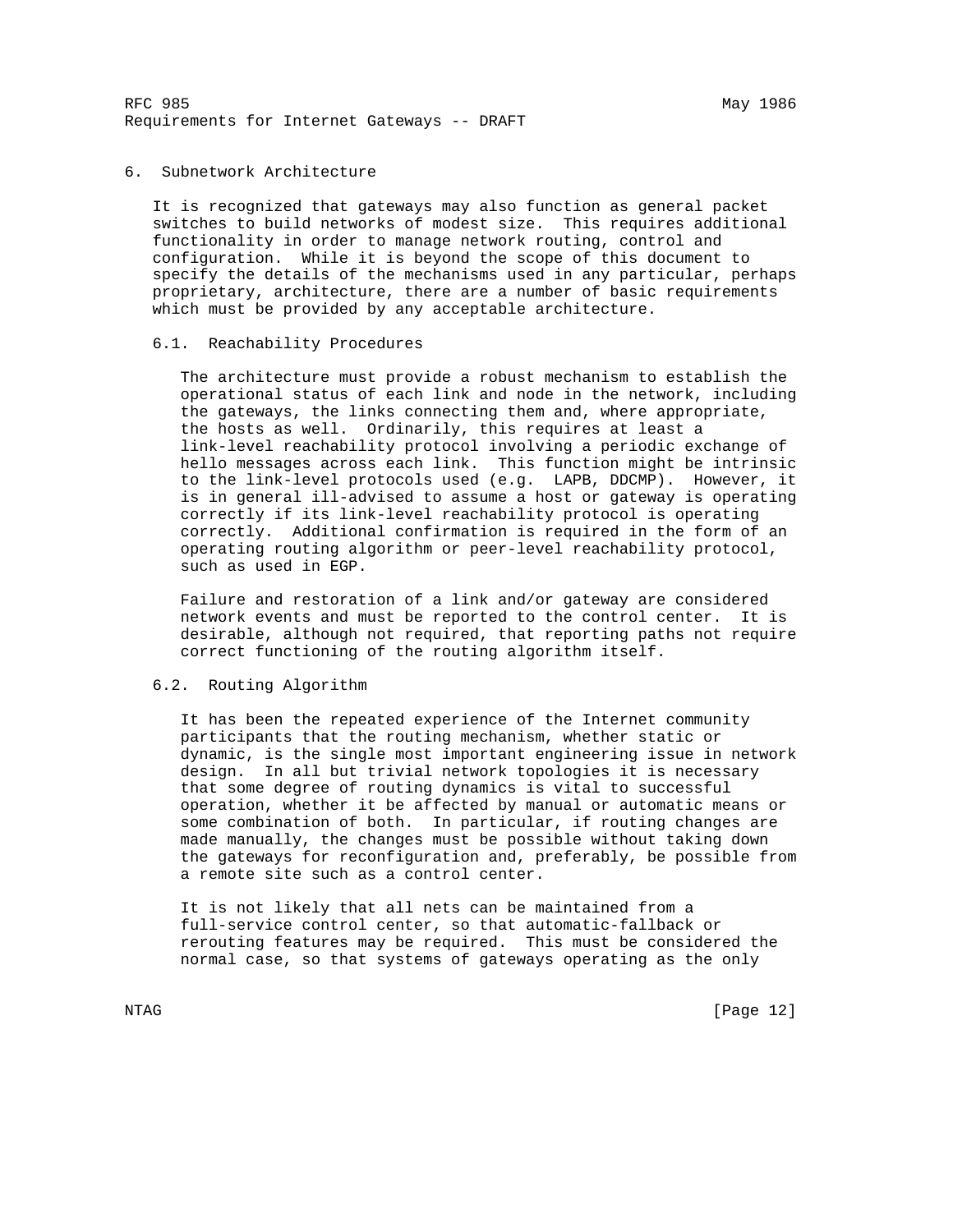RFC 985 May 1986 Requirements for Internet Gateways -- DRAFT

## 6. Subnetwork Architecture

 It is recognized that gateways may also function as general packet switches to build networks of modest size. This requires additional functionality in order to manage network routing, control and configuration. While it is beyond the scope of this document to specify the details of the mechanisms used in any particular, perhaps proprietary, architecture, there are a number of basic requirements which must be provided by any acceptable architecture.

#### 6.1. Reachability Procedures

 The architecture must provide a robust mechanism to establish the operational status of each link and node in the network, including the gateways, the links connecting them and, where appropriate, the hosts as well. Ordinarily, this requires at least a link-level reachability protocol involving a periodic exchange of hello messages across each link. This function might be intrinsic to the link-level protocols used (e.g. LAPB, DDCMP). However, it is in general ill-advised to assume a host or gateway is operating correctly if its link-level reachability protocol is operating correctly. Additional confirmation is required in the form of an operating routing algorithm or peer-level reachability protocol, such as used in EGP.

 Failure and restoration of a link and/or gateway are considered network events and must be reported to the control center. It is desirable, although not required, that reporting paths not require correct functioning of the routing algorithm itself.

### 6.2. Routing Algorithm

 It has been the repeated experience of the Internet community participants that the routing mechanism, whether static or dynamic, is the single most important engineering issue in network design. In all but trivial network topologies it is necessary that some degree of routing dynamics is vital to successful operation, whether it be affected by manual or automatic means or some combination of both. In particular, if routing changes are made manually, the changes must be possible without taking down the gateways for reconfiguration and, preferably, be possible from a remote site such as a control center.

 It is not likely that all nets can be maintained from a full-service control center, so that automatic-fallback or rerouting features may be required. This must be considered the normal case, so that systems of gateways operating as the only

NTAG [Page 12]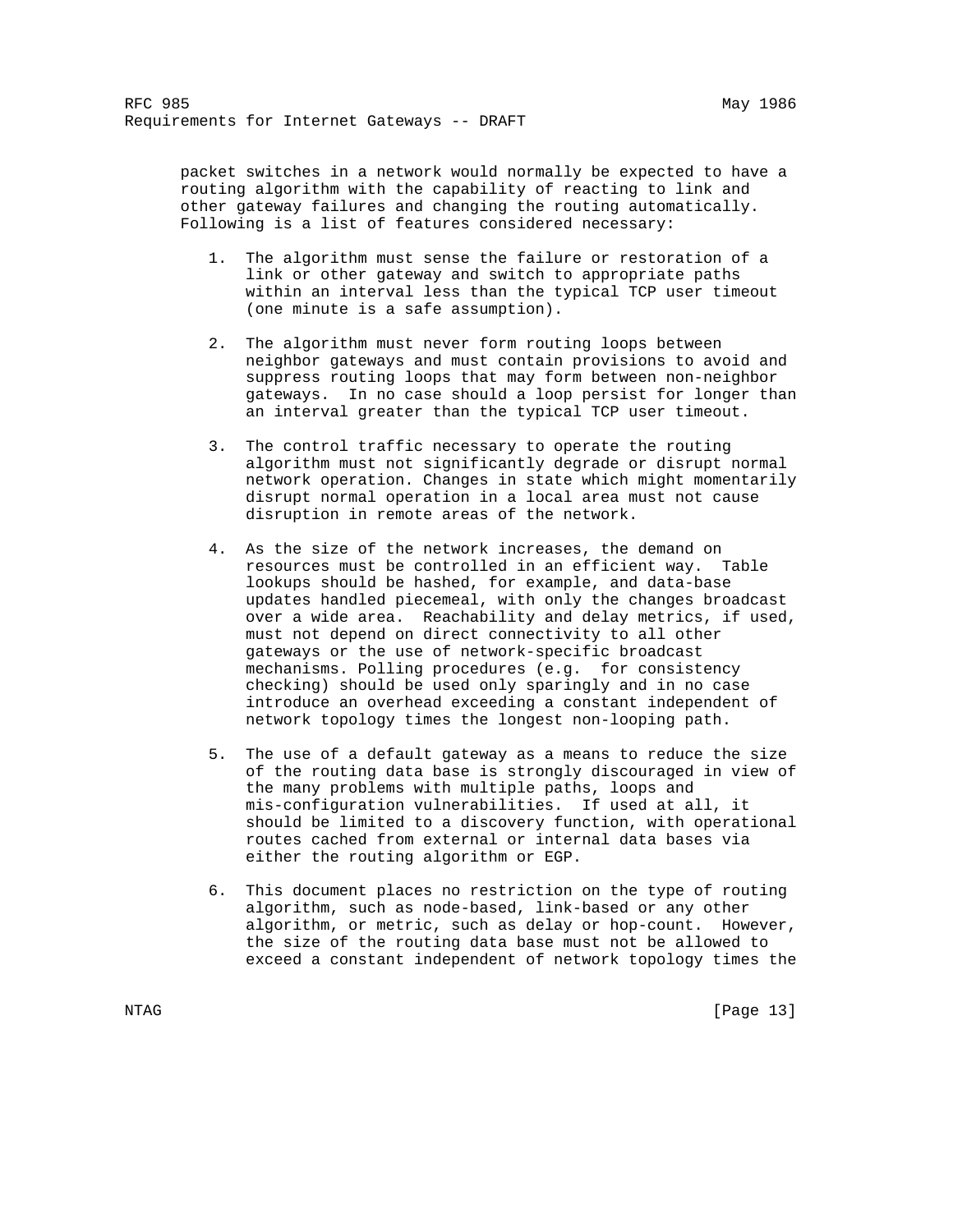packet switches in a network would normally be expected to have a routing algorithm with the capability of reacting to link and other gateway failures and changing the routing automatically. Following is a list of features considered necessary:

- 1. The algorithm must sense the failure or restoration of a link or other gateway and switch to appropriate paths within an interval less than the typical TCP user timeout (one minute is a safe assumption).
- 2. The algorithm must never form routing loops between neighbor gateways and must contain provisions to avoid and suppress routing loops that may form between non-neighbor gateways. In no case should a loop persist for longer than an interval greater than the typical TCP user timeout.
- 3. The control traffic necessary to operate the routing algorithm must not significantly degrade or disrupt normal network operation. Changes in state which might momentarily disrupt normal operation in a local area must not cause disruption in remote areas of the network.
- 4. As the size of the network increases, the demand on resources must be controlled in an efficient way. Table lookups should be hashed, for example, and data-base updates handled piecemeal, with only the changes broadcast over a wide area. Reachability and delay metrics, if used, must not depend on direct connectivity to all other gateways or the use of network-specific broadcast mechanisms. Polling procedures (e.g. for consistency checking) should be used only sparingly and in no case introduce an overhead exceeding a constant independent of network topology times the longest non-looping path.
- 5. The use of a default gateway as a means to reduce the size of the routing data base is strongly discouraged in view of the many problems with multiple paths, loops and mis-configuration vulnerabilities. If used at all, it should be limited to a discovery function, with operational routes cached from external or internal data bases via either the routing algorithm or EGP.
- 6. This document places no restriction on the type of routing algorithm, such as node-based, link-based or any other algorithm, or metric, such as delay or hop-count. However, the size of the routing data base must not be allowed to exceed a constant independent of network topology times the

NTAG [Page 13]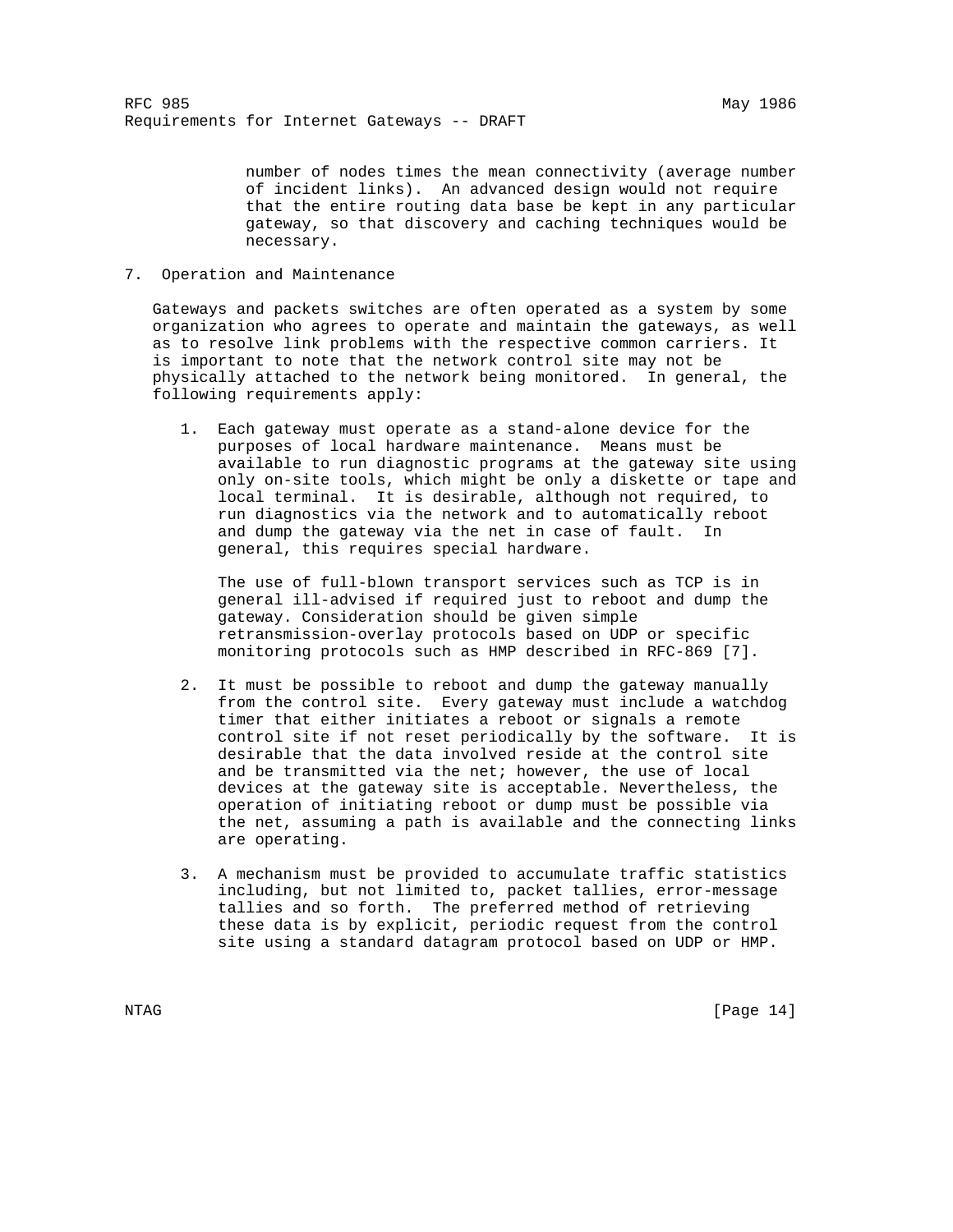number of nodes times the mean connectivity (average number of incident links). An advanced design would not require that the entire routing data base be kept in any particular gateway, so that discovery and caching techniques would be necessary.

7. Operation and Maintenance

 Gateways and packets switches are often operated as a system by some organization who agrees to operate and maintain the gateways, as well as to resolve link problems with the respective common carriers. It is important to note that the network control site may not be physically attached to the network being monitored. In general, the following requirements apply:

 1. Each gateway must operate as a stand-alone device for the purposes of local hardware maintenance. Means must be available to run diagnostic programs at the gateway site using only on-site tools, which might be only a diskette or tape and local terminal. It is desirable, although not required, to run diagnostics via the network and to automatically reboot and dump the gateway via the net in case of fault. In general, this requires special hardware.

 The use of full-blown transport services such as TCP is in general ill-advised if required just to reboot and dump the gateway. Consideration should be given simple retransmission-overlay protocols based on UDP or specific monitoring protocols such as HMP described in RFC-869 [7].

- 2. It must be possible to reboot and dump the gateway manually from the control site. Every gateway must include a watchdog timer that either initiates a reboot or signals a remote control site if not reset periodically by the software. It is desirable that the data involved reside at the control site and be transmitted via the net; however, the use of local devices at the gateway site is acceptable. Nevertheless, the operation of initiating reboot or dump must be possible via the net, assuming a path is available and the connecting links are operating.
- 3. A mechanism must be provided to accumulate traffic statistics including, but not limited to, packet tallies, error-message tallies and so forth. The preferred method of retrieving these data is by explicit, periodic request from the control site using a standard datagram protocol based on UDP or HMP.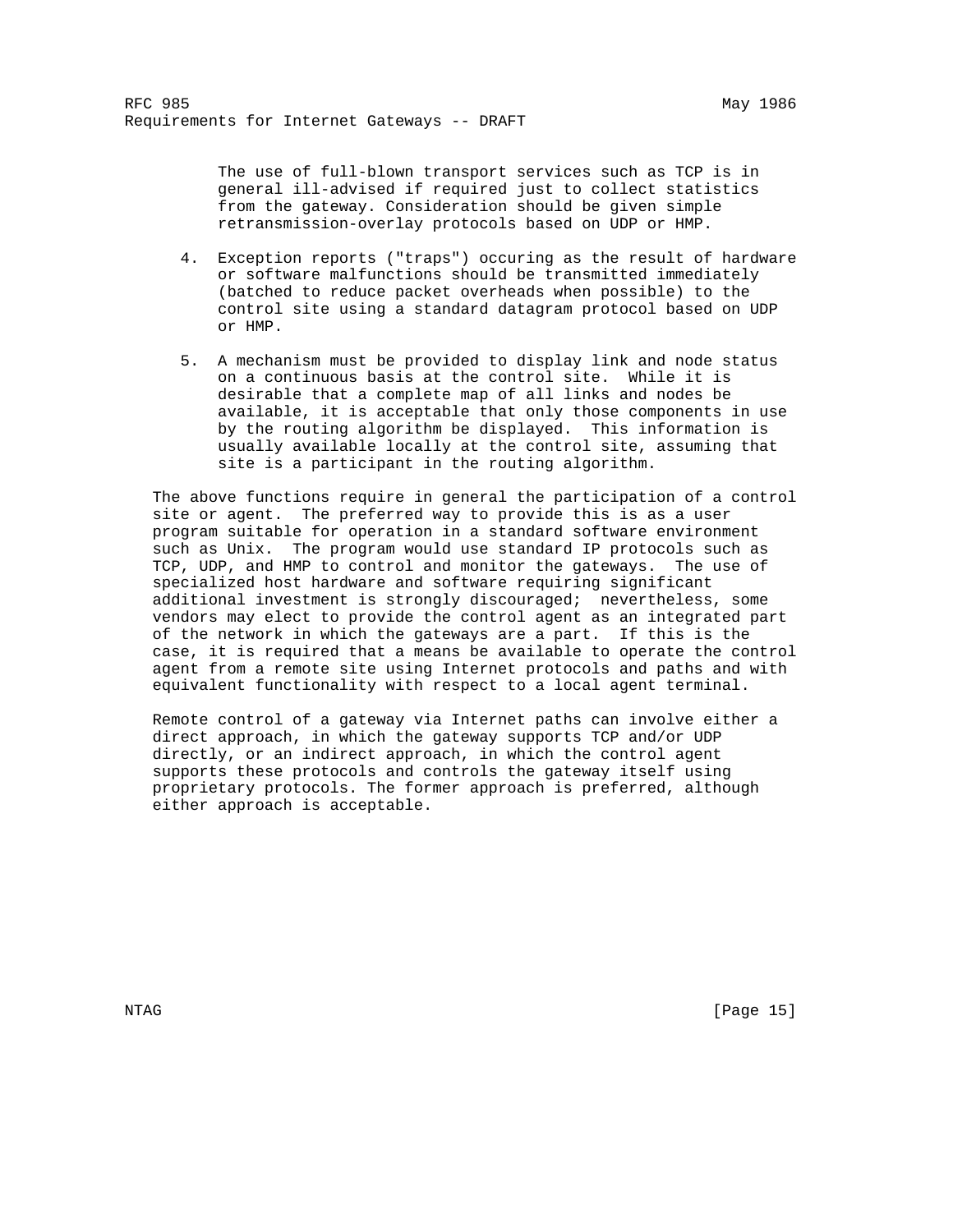The use of full-blown transport services such as TCP is in general ill-advised if required just to collect statistics from the gateway. Consideration should be given simple retransmission-overlay protocols based on UDP or HMP.

- 4. Exception reports ("traps") occuring as the result of hardware or software malfunctions should be transmitted immediately (batched to reduce packet overheads when possible) to the control site using a standard datagram protocol based on UDP or HMP.
- 5. A mechanism must be provided to display link and node status on a continuous basis at the control site. While it is desirable that a complete map of all links and nodes be available, it is acceptable that only those components in use by the routing algorithm be displayed. This information is usually available locally at the control site, assuming that site is a participant in the routing algorithm.

 The above functions require in general the participation of a control site or agent. The preferred way to provide this is as a user program suitable for operation in a standard software environment such as Unix. The program would use standard IP protocols such as TCP, UDP, and HMP to control and monitor the gateways. The use of specialized host hardware and software requiring significant additional investment is strongly discouraged; nevertheless, some vendors may elect to provide the control agent as an integrated part of the network in which the gateways are a part. If this is the case, it is required that a means be available to operate the control agent from a remote site using Internet protocols and paths and with equivalent functionality with respect to a local agent terminal.

 Remote control of a gateway via Internet paths can involve either a direct approach, in which the gateway supports TCP and/or UDP directly, or an indirect approach, in which the control agent supports these protocols and controls the gateway itself using proprietary protocols. The former approach is preferred, although either approach is acceptable.

NTAG [Page 15]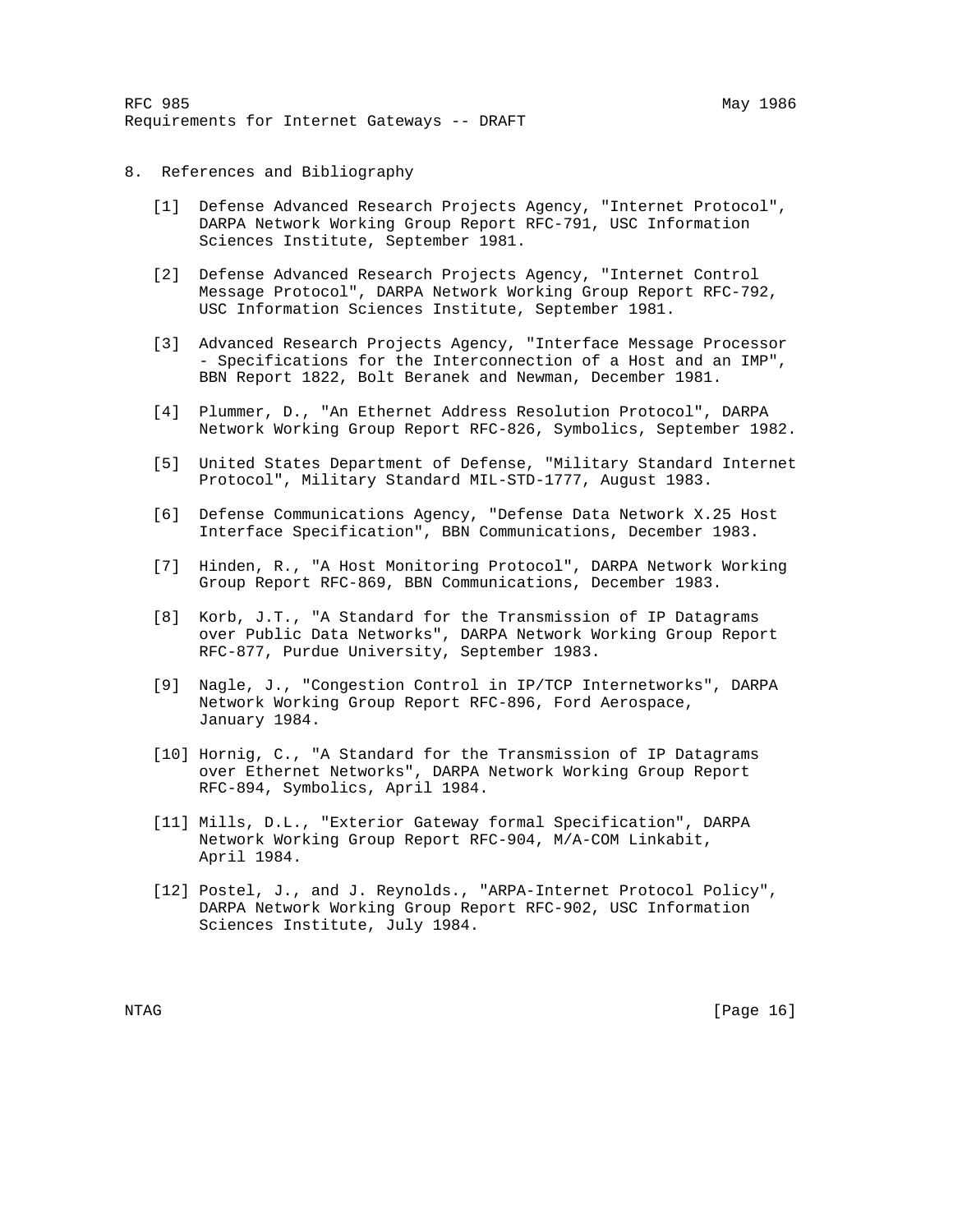- 8. References and Bibliography
	- [1] Defense Advanced Research Projects Agency, "Internet Protocol", DARPA Network Working Group Report RFC-791, USC Information Sciences Institute, September 1981.
	- [2] Defense Advanced Research Projects Agency, "Internet Control Message Protocol", DARPA Network Working Group Report RFC-792, USC Information Sciences Institute, September 1981.
	- [3] Advanced Research Projects Agency, "Interface Message Processor - Specifications for the Interconnection of a Host and an IMP", BBN Report 1822, Bolt Beranek and Newman, December 1981.
	- [4] Plummer, D., "An Ethernet Address Resolution Protocol", DARPA Network Working Group Report RFC-826, Symbolics, September 1982.
	- [5] United States Department of Defense, "Military Standard Internet Protocol", Military Standard MIL-STD-1777, August 1983.
	- [6] Defense Communications Agency, "Defense Data Network X.25 Host Interface Specification", BBN Communications, December 1983.
	- [7] Hinden, R., "A Host Monitoring Protocol", DARPA Network Working Group Report RFC-869, BBN Communications, December 1983.
	- [8] Korb, J.T., "A Standard for the Transmission of IP Datagrams over Public Data Networks", DARPA Network Working Group Report RFC-877, Purdue University, September 1983.
	- [9] Nagle, J., "Congestion Control in IP/TCP Internetworks", DARPA Network Working Group Report RFC-896, Ford Aerospace, January 1984.
	- [10] Hornig, C., "A Standard for the Transmission of IP Datagrams over Ethernet Networks", DARPA Network Working Group Report RFC-894, Symbolics, April 1984.
	- [11] Mills, D.L., "Exterior Gateway formal Specification", DARPA Network Working Group Report RFC-904, M/A-COM Linkabit, April 1984.
	- [12] Postel, J., and J. Reynolds., "ARPA-Internet Protocol Policy", DARPA Network Working Group Report RFC-902, USC Information Sciences Institute, July 1984.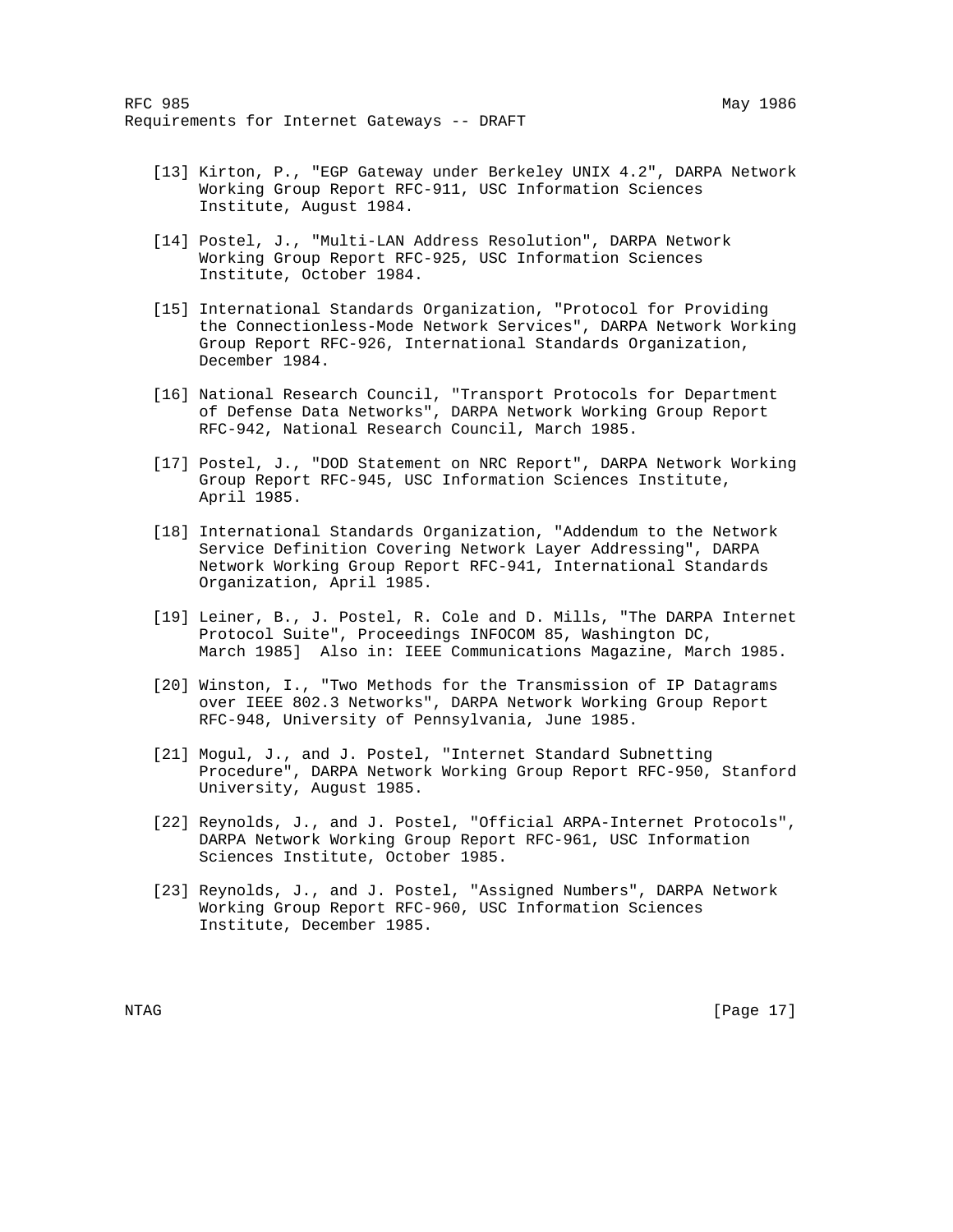- [13] Kirton, P., "EGP Gateway under Berkeley UNIX 4.2", DARPA Network Working Group Report RFC-911, USC Information Sciences Institute, August 1984.
- [14] Postel, J., "Multi-LAN Address Resolution", DARPA Network Working Group Report RFC-925, USC Information Sciences Institute, October 1984.
- [15] International Standards Organization, "Protocol for Providing the Connectionless-Mode Network Services", DARPA Network Working Group Report RFC-926, International Standards Organization, December 1984.
- [16] National Research Council, "Transport Protocols for Department of Defense Data Networks", DARPA Network Working Group Report RFC-942, National Research Council, March 1985.
	- [17] Postel, J., "DOD Statement on NRC Report", DARPA Network Working Group Report RFC-945, USC Information Sciences Institute, April 1985.
	- [18] International Standards Organization, "Addendum to the Network Service Definition Covering Network Layer Addressing", DARPA Network Working Group Report RFC-941, International Standards Organization, April 1985.
	- [19] Leiner, B., J. Postel, R. Cole and D. Mills, "The DARPA Internet Protocol Suite", Proceedings INFOCOM 85, Washington DC, March 1985] Also in: IEEE Communications Magazine, March 1985.
	- [20] Winston, I., "Two Methods for the Transmission of IP Datagrams over IEEE 802.3 Networks", DARPA Network Working Group Report RFC-948, University of Pennsylvania, June 1985.
	- [21] Mogul, J., and J. Postel, "Internet Standard Subnetting Procedure", DARPA Network Working Group Report RFC-950, Stanford University, August 1985.
	- [22] Reynolds, J., and J. Postel, "Official ARPA-Internet Protocols", DARPA Network Working Group Report RFC-961, USC Information Sciences Institute, October 1985.
	- [23] Reynolds, J., and J. Postel, "Assigned Numbers", DARPA Network Working Group Report RFC-960, USC Information Sciences Institute, December 1985.

NTAG [Page 17]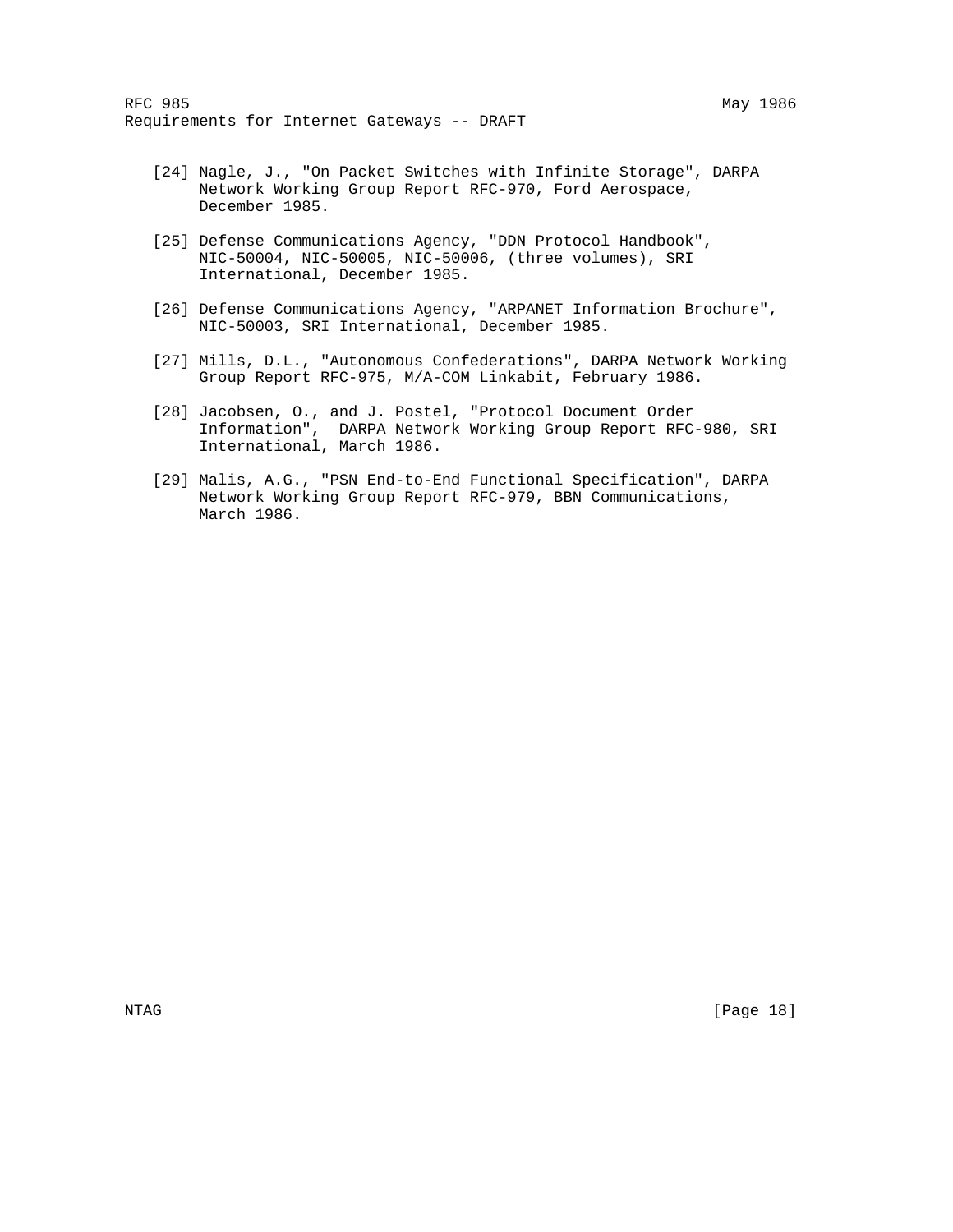- [24] Nagle, J., "On Packet Switches with Infinite Storage", DARPA Network Working Group Report RFC-970, Ford Aerospace, December 1985.
- [25] Defense Communications Agency, "DDN Protocol Handbook", NIC-50004, NIC-50005, NIC-50006, (three volumes), SRI International, December 1985.
- [26] Defense Communications Agency, "ARPANET Information Brochure", NIC-50003, SRI International, December 1985.
- [27] Mills, D.L., "Autonomous Confederations", DARPA Network Working Group Report RFC-975, M/A-COM Linkabit, February 1986.
- [28] Jacobsen, O., and J. Postel, "Protocol Document Order Information", DARPA Network Working Group Report RFC-980, SRI International, March 1986.
- [29] Malis, A.G., "PSN End-to-End Functional Specification", DARPA Network Working Group Report RFC-979, BBN Communications, March 1986.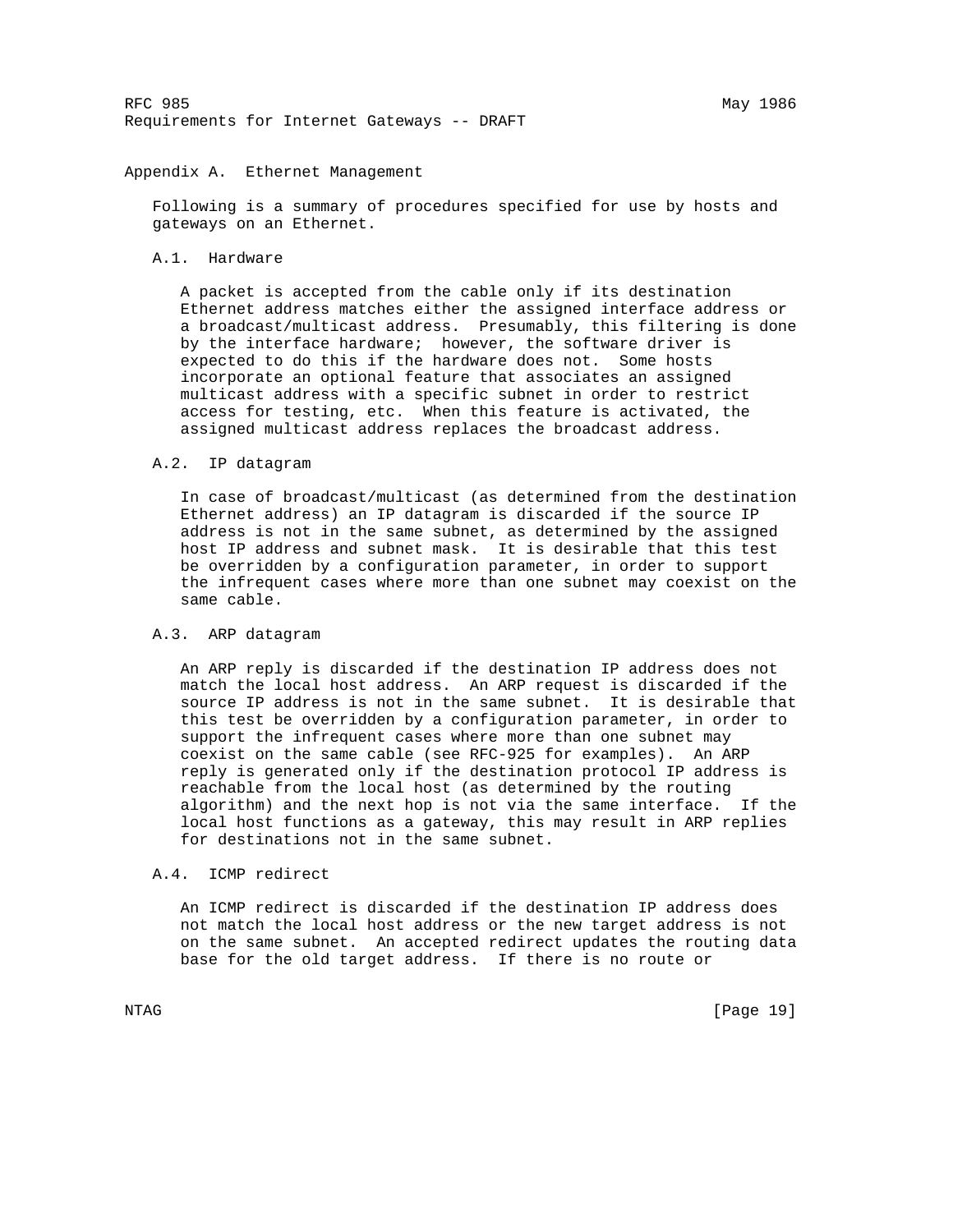RFC 985 May 1986 Requirements for Internet Gateways -- DRAFT

# Appendix A. Ethernet Management

 Following is a summary of procedures specified for use by hosts and gateways on an Ethernet.

### A.1. Hardware

 A packet is accepted from the cable only if its destination Ethernet address matches either the assigned interface address or a broadcast/multicast address. Presumably, this filtering is done by the interface hardware; however, the software driver is expected to do this if the hardware does not. Some hosts incorporate an optional feature that associates an assigned multicast address with a specific subnet in order to restrict access for testing, etc. When this feature is activated, the assigned multicast address replaces the broadcast address.

### A.2. IP datagram

 In case of broadcast/multicast (as determined from the destination Ethernet address) an IP datagram is discarded if the source IP address is not in the same subnet, as determined by the assigned host IP address and subnet mask. It is desirable that this test be overridden by a configuration parameter, in order to support the infrequent cases where more than one subnet may coexist on the same cable.

# A.3. ARP datagram

 An ARP reply is discarded if the destination IP address does not match the local host address. An ARP request is discarded if the source IP address is not in the same subnet. It is desirable that this test be overridden by a configuration parameter, in order to support the infrequent cases where more than one subnet may coexist on the same cable (see RFC-925 for examples). An ARP reply is generated only if the destination protocol IP address is reachable from the local host (as determined by the routing algorithm) and the next hop is not via the same interface. If the local host functions as a gateway, this may result in ARP replies for destinations not in the same subnet.

# A.4. ICMP redirect

 An ICMP redirect is discarded if the destination IP address does not match the local host address or the new target address is not on the same subnet. An accepted redirect updates the routing data base for the old target address. If there is no route or

NTAG [Page 19]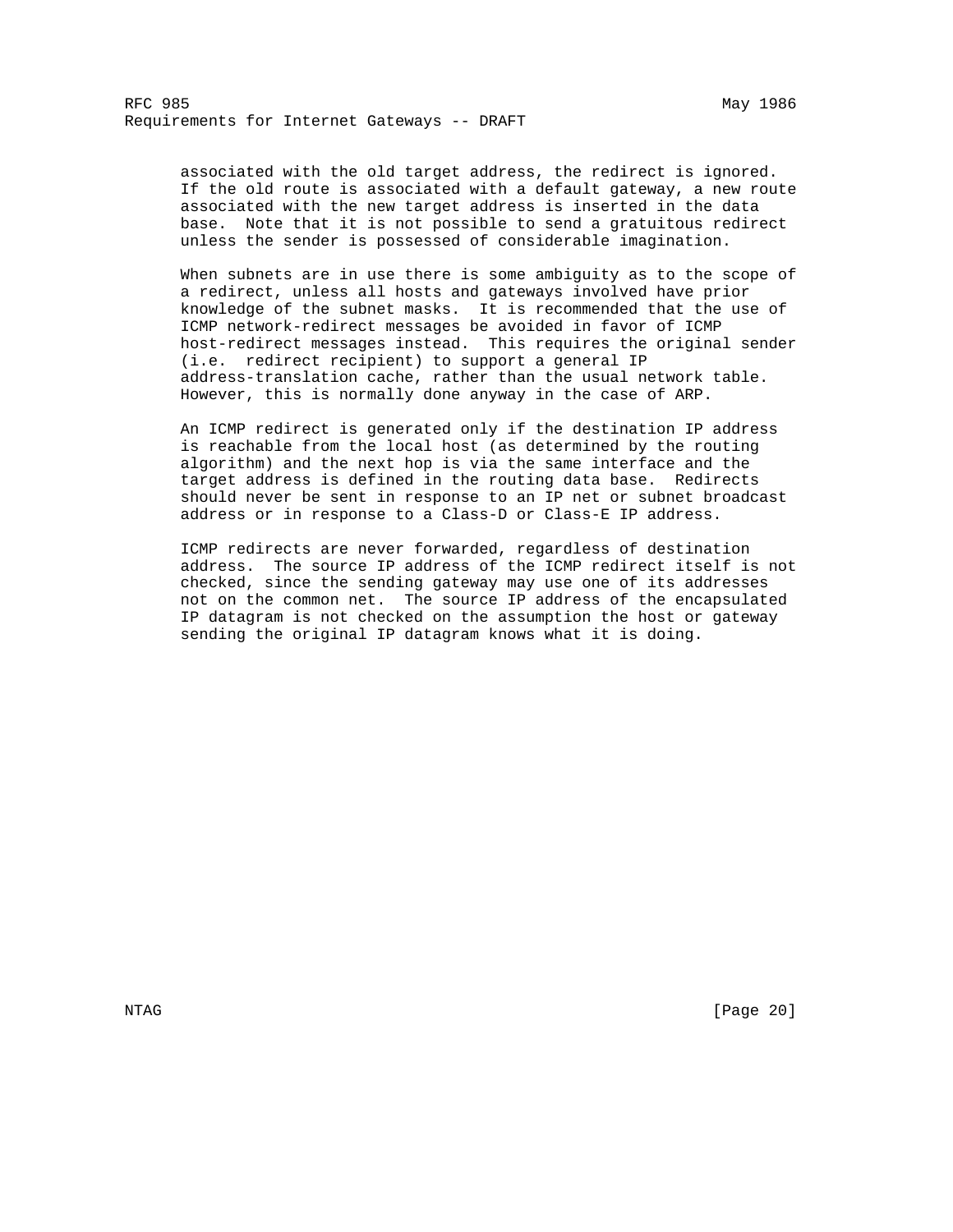associated with the old target address, the redirect is ignored. If the old route is associated with a default gateway, a new route associated with the new target address is inserted in the data base. Note that it is not possible to send a gratuitous redirect unless the sender is possessed of considerable imagination.

 When subnets are in use there is some ambiguity as to the scope of a redirect, unless all hosts and gateways involved have prior knowledge of the subnet masks. It is recommended that the use of ICMP network-redirect messages be avoided in favor of ICMP host-redirect messages instead. This requires the original sender (i.e. redirect recipient) to support a general IP address-translation cache, rather than the usual network table. However, this is normally done anyway in the case of ARP.

 An ICMP redirect is generated only if the destination IP address is reachable from the local host (as determined by the routing algorithm) and the next hop is via the same interface and the target address is defined in the routing data base. Redirects should never be sent in response to an IP net or subnet broadcast address or in response to a Class-D or Class-E IP address.

 ICMP redirects are never forwarded, regardless of destination address. The source IP address of the ICMP redirect itself is not checked, since the sending gateway may use one of its addresses not on the common net. The source IP address of the encapsulated IP datagram is not checked on the assumption the host or gateway sending the original IP datagram knows what it is doing.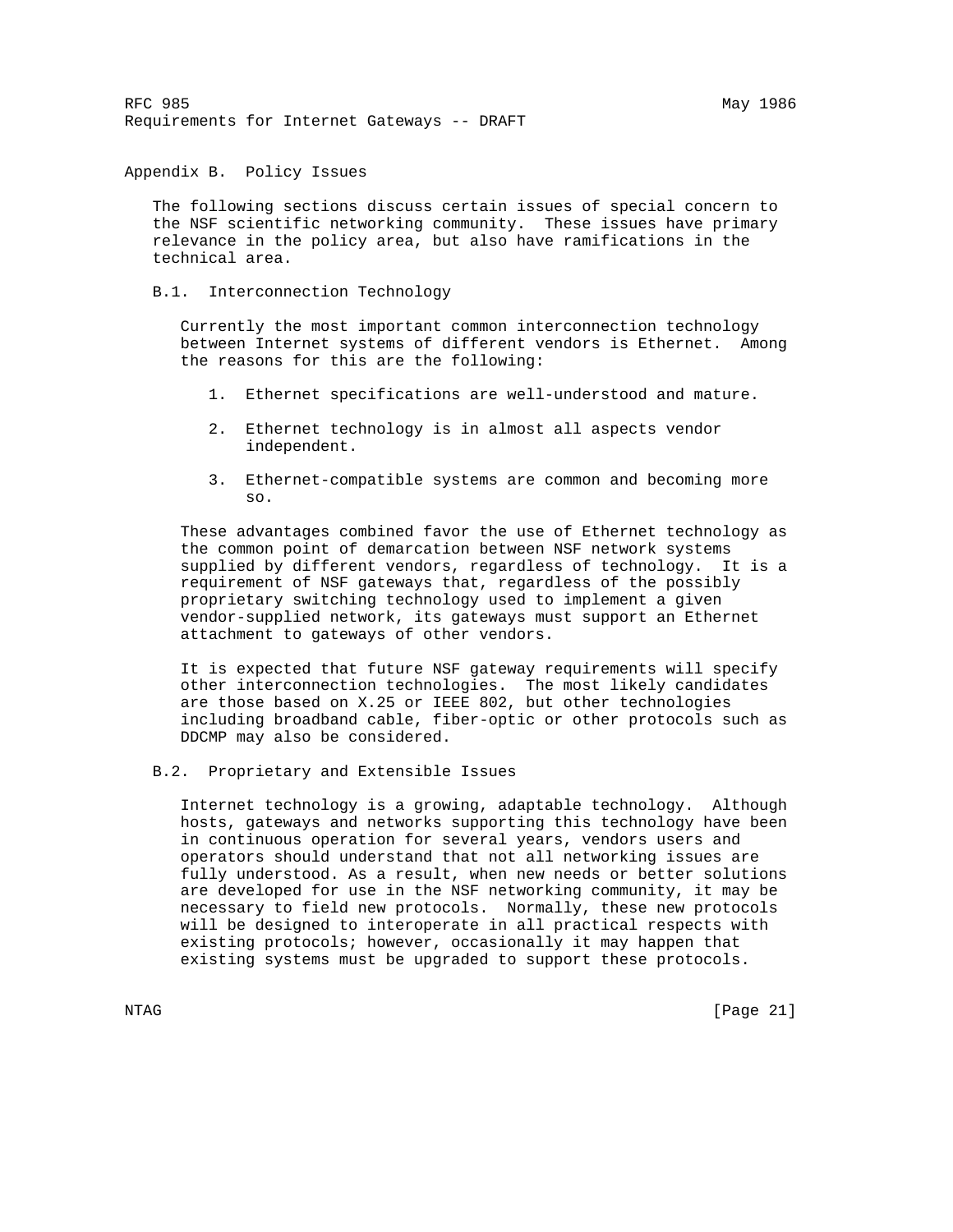Appendix B. Policy Issues

 The following sections discuss certain issues of special concern to the NSF scientific networking community. These issues have primary relevance in the policy area, but also have ramifications in the technical area.

B.1. Interconnection Technology

 Currently the most important common interconnection technology between Internet systems of different vendors is Ethernet. Among the reasons for this are the following:

- 1. Ethernet specifications are well-understood and mature.
- 2. Ethernet technology is in almost all aspects vendor independent.
- 3. Ethernet-compatible systems are common and becoming more so.

 These advantages combined favor the use of Ethernet technology as the common point of demarcation between NSF network systems supplied by different vendors, regardless of technology. It is a requirement of NSF gateways that, regardless of the possibly proprietary switching technology used to implement a given vendor-supplied network, its gateways must support an Ethernet attachment to gateways of other vendors.

 It is expected that future NSF gateway requirements will specify other interconnection technologies. The most likely candidates are those based on X.25 or IEEE 802, but other technologies including broadband cable, fiber-optic or other protocols such as DDCMP may also be considered.

B.2. Proprietary and Extensible Issues

 Internet technology is a growing, adaptable technology. Although hosts, gateways and networks supporting this technology have been in continuous operation for several years, vendors users and operators should understand that not all networking issues are fully understood. As a result, when new needs or better solutions are developed for use in the NSF networking community, it may be necessary to field new protocols. Normally, these new protocols will be designed to interoperate in all practical respects with existing protocols; however, occasionally it may happen that existing systems must be upgraded to support these protocols.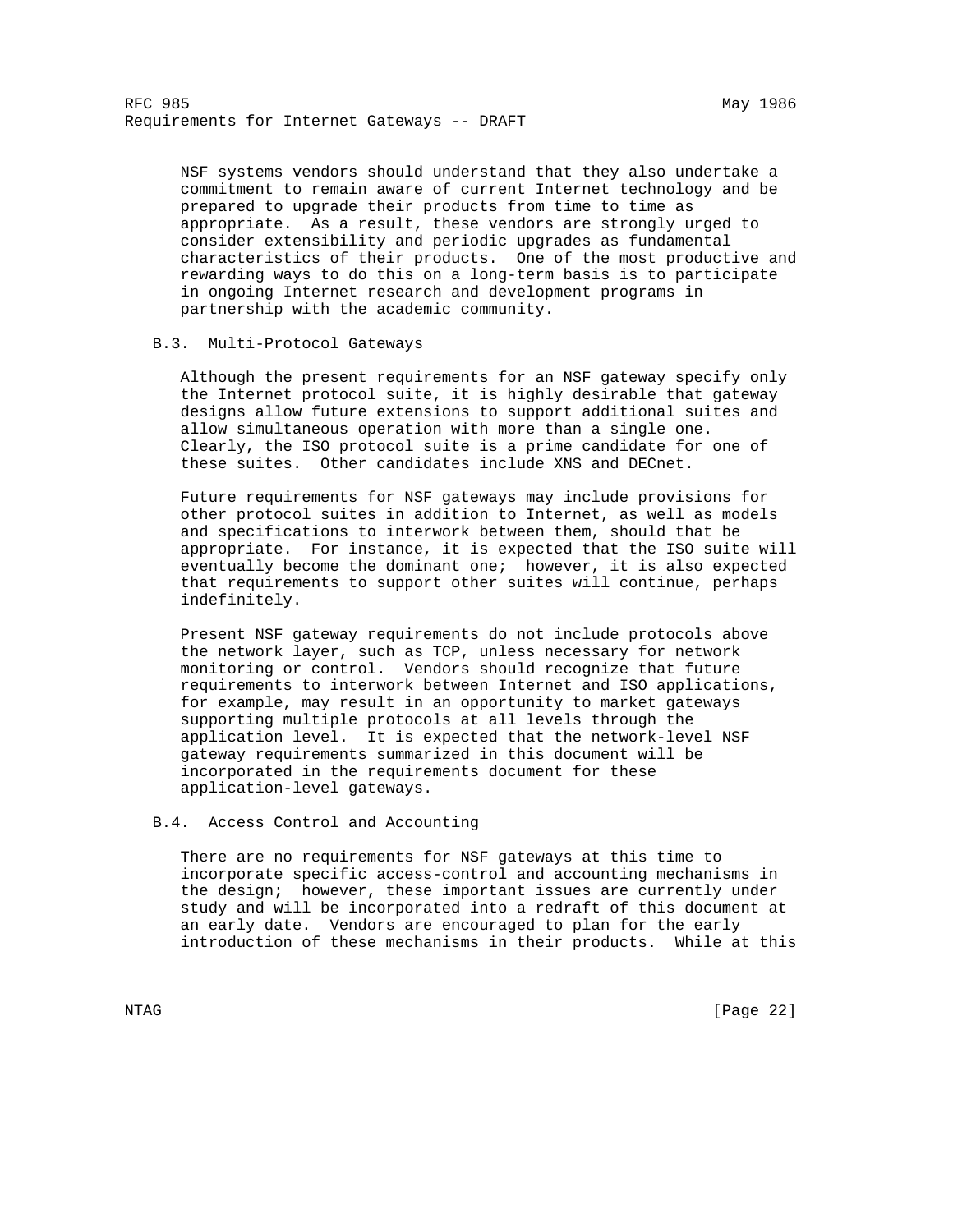NSF systems vendors should understand that they also undertake a commitment to remain aware of current Internet technology and be prepared to upgrade their products from time to time as appropriate. As a result, these vendors are strongly urged to consider extensibility and periodic upgrades as fundamental characteristics of their products. One of the most productive and rewarding ways to do this on a long-term basis is to participate in ongoing Internet research and development programs in partnership with the academic community.

#### B.3. Multi-Protocol Gateways

 Although the present requirements for an NSF gateway specify only the Internet protocol suite, it is highly desirable that gateway designs allow future extensions to support additional suites and allow simultaneous operation with more than a single one. Clearly, the ISO protocol suite is a prime candidate for one of these suites. Other candidates include XNS and DECnet.

 Future requirements for NSF gateways may include provisions for other protocol suites in addition to Internet, as well as models and specifications to interwork between them, should that be appropriate. For instance, it is expected that the ISO suite will eventually become the dominant one; however, it is also expected that requirements to support other suites will continue, perhaps indefinitely.

 Present NSF gateway requirements do not include protocols above the network layer, such as TCP, unless necessary for network monitoring or control. Vendors should recognize that future requirements to interwork between Internet and ISO applications, for example, may result in an opportunity to market gateways supporting multiple protocols at all levels through the application level. It is expected that the network-level NSF gateway requirements summarized in this document will be incorporated in the requirements document for these application-level gateways.

# B.4. Access Control and Accounting

 There are no requirements for NSF gateways at this time to incorporate specific access-control and accounting mechanisms in the design; however, these important issues are currently under study and will be incorporated into a redraft of this document at an early date. Vendors are encouraged to plan for the early introduction of these mechanisms in their products. While at this

NTAG [Page 22]